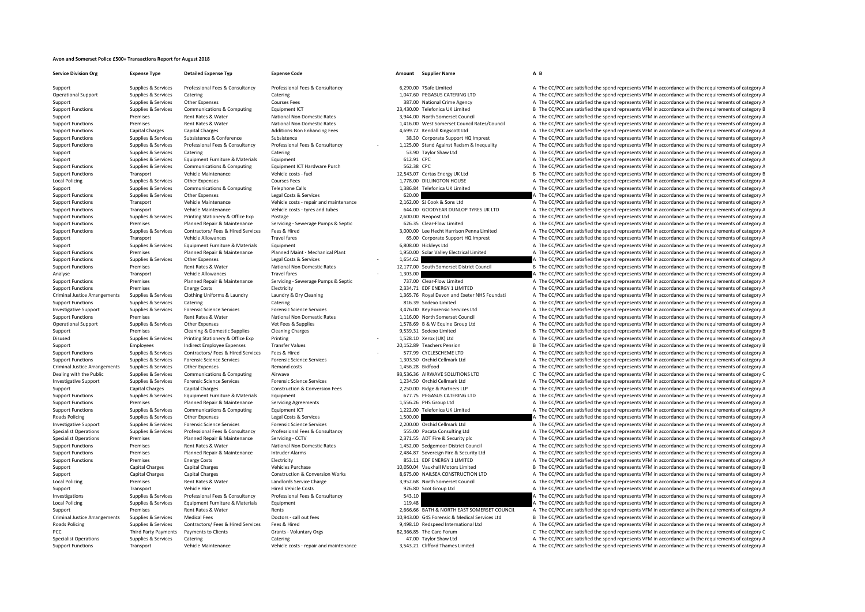## **Avon and Somerset Police £500+ Transactions Report for August 2018**

**Service Division**Local Policing Criminal JusticeCriminal Justice**Roads Policing** Local**Local Policing** Criminal Justice**Roads Policing** PCC Third Party Payments

**Org Expense Type Detailed Expense Typ Expense Code Amount Supplier Name A B**

## Support Supplies & Services Professional Fees & Consultancy Professional Fees & Consultancy Consultancy A The CC/PCC are satisfied A The CC/PCC are satisfied the spend represents VFM in accordance with the requirements of

Operational Support Supplies & Services Catering Catering Catering Catering Catering Catering Catering Catering Catering Catering Catering Catering Catering Catering Catering Catering Catering Catering Catering Catering Ca Support Supplies & Services Other Expenses Courses Fees 387.00 National Crime Agency A The CC/PCC are satisfied the spend represents VFM in accordance with the requirements of category A The Crime Agency Supplies & Service Support Functions Supplies & Services Communications & Computing Faultoment ICT 23,430.00 Telefonica UK Limited B The CC/PCC are satisfied the spend represents VFM in accordance with the requirements of category B Support Premises Rent Rates & Water National Non Domestic Rates 3,944.00 North Somerset Council A The CC/PCC are satisfied the spend represents VFM in accordance with the requirements of category A Support Functions Premises Rent Rates & Water National Non Domestic Rates 1,416.00 West Somerset Council Rates/Council A The CC/PCC are satisfied the spend represents VFM in accordance with the requirements of category A Support Functions Capital Charges Capital Charges Additions:Non Enhancing Fees 4,699.72 Kendall Kingscott Ltd A The CC/PCC are satisfied the spend represents VFM in accordance with the requirements of category A Support Functions Supporters Support Support Support Support Support Support The Support Corporate Support HQ Imprest A The CC/PCC are satisfied the spend represents VFM in accordance with the requirements of category A Support Functions Supplies & Services Professional Fees & Consultancy Professional Fees & Consultancy Professional Fees & Consultancy Professional Fees & Consultancy Professional Fees & Consultancy 2001 and Against Racism Support Supplies & Services Catering Catering Catering Catering Catering Catering Catering Catering Catering Catering Catering Catering Satisfied the spend represents VFM in accordance with the requirements of category A Support Supplies & Services Equipment Furniture & Materials Equipment Equipment 612.91 CPC 612.91 CPC A The CC/PCC are satisfied the spend represents VFM in accordance with the requirements of category A Support Functions Supplies & Services Communications & Computing Equipment ICT Hardware Purch 562.38 CPC 562.38 CPC A The CC/PCC are satisfied the spend represents VFM in accordance with the requirements of category A Support Functions Transport Vehicle Maintenance Vehicle costs – fuel 12,543.07 Certas Energy UK Ltd B The CC/PCC are satisfied the spend represents VFM in accordance with the requirements of category B The costs of the B T Popiles & Services Other Expenses Courses Fees Courses Fees 2001 Courses Fees 2001 Courses Fees 1,778.00 DILLINGTON HOUSE A The CC/PCC are satisfied the spend represents VFM in accordance with the requirements of category Support Supplies & Services Communications & Computing Telephone Calls 1,386.84 Telefonica UK Limited A The CC/PCC are satisfied the spend represents VFM in accordance with the requirements of category A Support Functions Supplies & Services Other Expenses Legal Costs & Services 620.00 620.00 A The CC/PCC are satisfied the spend represents VFM in accordance with the requirements of category A Support Functions Transport Vehicle Maintenance Vehicle costs ‐ repair and maintenance Vehicle costs ‐ repair and maintenance 2,162.00 SJ Cook & Sons Ltd A The CC/PCC are satisfied the spend represents VFM in accordance wi Support Functions Transport Vehicle Maintenance Vehicle costs – tyres and tubes 644.00 GOODYEAR DUNLOP TYRES UK LTD A The CC/PCC are satisfied the spend represents VFM in accordance with the requirements of category A The Support Functions Supplies & Services Printing Stationery & Office Exp Postage 2,600.00 Neopost Ltd A The CC/PCC are satisfied the spend represents VFM in accordance with the requirements of category A Support Functions Premises Planned Repair & Maintenance Servicing - Servicing – Severage Pumps & Septic 626.35 Clear-Flow Limited A The CC/PCC are satisfied the spend represents VFM in accordance with the requirements of c A The CC/PCC are satisfied the spend represents VFM in accordance with the requirements of category A Support Transport Vehicle Allowances Travel fares and the Support A The CC/PC are satisfied the spend represents VFM in accordance with the requirements of category A Support Supplies & Services Equipment Furniture & Materials Equipment 6,808.00 Hickleys Ltd A The CC/PCC are satisfied the spend represents VFM in accordance with the requirements of category A Premises Planned Repair & Maintenance Planned Maint-Mechanical Plant 1,950.00 Solar Valley Electrical Limited A The CC/PCC are satisfied the spend represents VFM in accordance with the requirements of category A The Suppor A The CC/PCC are satisfied the spend represents VFM in accordance with the requirements of category A Support Functions Premises Rent Rates & Water National Non Domestic Rates 12,177.00 South Somerset District Council B The CC/PCC are satisfied the spend represents VFM in accordance with the requirements of category B Transport Vehicle Allowances Travel fares Travel fares 1,303.00 **1,303.00** A The CC/PCC are satisfied the spend represents VFM in accordance with the requirements of category A The number of category and the spend represen Support Functions Premises Planned Repair & Maintenance Servicing - Servicing Septic 737.00 Clear‐Flow Limited A The CC/PCC are satisfied the spend represents VFM in accordance with the requirements of category A The CC/PC A The CC/PCC are satisfied the spend represents VFM in accordance with the requirements of category A Supplies & Services Clothing Uniforms & Laundry Laundry & Dry Cleaning and the Supplies and Exeter NHS Foundati A The CC/PCC are satisfied the spend represents VFM in accordance with the requirements of category A Support Functions Supplies & Services Catering Catering 816.39 Sodexo Limited A The CC/PCC are satisfied the spend represents VFM in accordance with the requirements of category A Investigative Support Supplies & Services Forensic Science Services Forensic Science Services Forensic Science Services Forensic Science Services Forensic Science Services (3,476.00 Key Forensic Services Ltd A The CC/PCC a Support Functions Premises Rent Rates & Water National Non Domestic Rates 1,116.00 North Somerset Council A The CC/PCC are satisfied the spend represents VFM in accordance with the requirements of category A Operational Support Supplies Supplies Support Other Expenses Vet Fees & Supplies Vet Fees & Supplies Vet Fees & Supplies 1,578.69 B & W Equine Group Ltd A The CC/PCC are satisfied the spend represents VFM in accordance wit Support Premises Cleaning & Domestic Supplies Cleaning Charges Cleaning Charges 9,539.31 Sodexo Limited B The CC/PCC are satisfied the spend represents VFM in accordance with the requirements of category B The Cristopher S Disused Supplies & Services Printing Stationery & Office Exp Printing 1,528.1 Network Category A The CC/PCC are satisfied the spend represents VFM in accordance with the requirements of category A Support Employees Indirect Employee Expenses Transfer Values 20,152.89 Teachers Pension B The CC/PCC are satisfied the spend represents VFM in accordance with the requirements of category B Support Functions Support Functi S77.99 CYCLESCHEME LTD<br>A The CC/PCC are satisfied the spend represents VFM in accordance with the requirements of category A<br>A The CC/PCC are satisfied the spend represents VFM in accordance with the requirements of catego Support Functions Supplies & Services Forensic Science Services Forensic Science Services Forensic Science Services and The Collection A The CC/PCC are satisfied the spend represents VFM in accordance with the requirements Supplies & Services Other Expenses Remand costs Remand costs and the Supplies A The CC/PCC are satisfied the spend represents VFM in accordance with the requirements of category A Dealing with the Public Supplies & Services Communications & Computing Airwave Airwave Airwave 93,536.36 AIRWAVE SOLUTIONS LTD C The CC/PCC are satisfied the spend represents VFM in accordance with the requirements of cate Supplies & Services Forensic Science Services Forensic Science Services Forensic Science Services Forensic Science Services and The CC/PCC are satisfied the spend represents VFM in accordance with the requirements of categ Support Capital Charges Capital Charges Construction & Conversion Fees 2,250.00 Ridge & Partners LLP A The CC/PCC are satisfied the spend represents VFM in accordance with the requirements of category A Support Functions Supplies & Services Equipment Eurniture & Materials Equipment Equipment Equipment Equipment 677.75 PEGASUS CATERING LTD A The CC/PCC are satisfied the spend represents VFM in accordance with the requireme Support Functions Premises Planned Repair & Maintenance Servicing Agreements 1,556.26 PHS Group Ltd A The CC/PCC are satisfied the spend represents VFM in accordance with the requirements of category A Support Functions Supplies & Services Communications & Computing Equipment ICT Equipment ICT 1,222.00 Telefonica UK Limited A The CC/PCC are satisfied the spend represents VFM in accordance with the requirements of categor Supplies Services Other Expenses Costs Legal Costs & Services 1,500.00 A The CC/PCC are satisfied the spend represents VFM in accordance with the requirements of category A Investigative Support Supplies & Services Forensic Science Services Forensic Science Services Forensic Science Services Forensic Science Services Forensic Science Services Professional Eggs & Consultancy Professional Eggs Supplies & Services Professional Fees & Consultancy Professional Fees & Consultancy 555.00 Pacata Consulting Ltd A The CC/PCC are satisfied the spend represents VFM in accordance with the requirements of category A Specialist Operations Premises Planned Repair & Maintenance Servicing ‐ CCTV 2,371.55 ADT Fire & Security plc A The CC/PCC are satisfied the spend represents VFM in accordance with the requirements of category A Support Functions Premises Rent Rates & Water National Non Domestic Rates 1,452.00 Sedgemoor District Council A The CC/PCC are satisfied the spend represents VFM in accordance with the requirements of category A The Counci Support Functions Premises Planned Repair & Maintenance Intruder Alarms 2,484.87 Sovereign Fire & Security Ltd A The CC/PCC are satisfied the spend represents VFM in accordance with the requirements of category A The Crite Support Functions Premises Energy Costs Functions Electricity entergy and the Energy Costs Electricity entergy and the Energy Costs Electricity and the Energy Costs Electricity and the Energy Costs and Functions A The CC/P Support Capital Charges Capital Charges Vehicles Purchase Vehicles Purchase 10,050.04 Vauxhall Motors Limited B The CC/PCC are satisfied the spend represents VFM in accordance with the requirements of category B Support Capital Charges Capital Charges Capital Charges Capital Charges Construction & Conversion Works 8,675.00 NAILSEA CONSTRUCTION LTD A The CC/PCC are satisfied the spend represents VFM in accordance with the requireme Premises Rent Rates & Water Matches Rent Rates Rent Rated and Data Charge 3,952.68 North Somerset Council A The CC/PCC are satisfied the spend represents VFM in accordance with the requirements of category A Support Transport Vehicle Hire Menicle Costs Hired Vehicle Costs 926.80 Scot Group Ltd A The CC/PCC are satisfied the spend represents VFM in accordance with the requirements of category A Investigations Supplies & Services Professional Fees & Consultancy Professional Fees & Consultancy Consultancy 543.10 A The CC/PCC are satisfied the spend represents VFM in accordance with the requirements of category A Policing Supplies & Services Equipment Equipment Equipment Equipment Equipment Equipment Equipment Equipment Equipment 119.48 A The CC/PCC are satisfied the spend represents VFM in accordance with the requirements of categ Support Premises Rent Rates & Water Rents Rents Rents Rents 2,666.66 BATH & NORTH EAST SOMERSET COUNCIL A The CC/PCC are satisfied the spend represents VFM in accordance with the requirements of category A Arrangements of call out fees Doctors - call out fees 10,943.00 G4S Forensic & Medical Services Ltd B The CC/PCC are satisfied the spend represents VFM in accordance with the requirements of category B Policing Supplies & Services Contractors/ Fees & Hired Services Fees & Hired 9,498.10 Redspeed International Ltd A The CC/PCC are satisfied the spend represents VFM in accordance with the requirements of category A Payments to Clients Grants - Voluntary Orgs 62,366,85 The Care Forum C The CC/PCC are satisfied the spend represents VFM in accordance with the requirements of category C Specialist Operations Supplies & Services Catering Catering Catering Catering Catering Catering Catering Catering Catering Catering Catering A The CC/PCC are satisfied the spend represents VFM in accordance with the requir Support Functions Transport Vehicle Maintenance Vehicle costs ‐ repair and maintenance 3,543.21 Clifford Thames Limited A The CC/PCC are satisfied the spend represents VFM in accordance with the requirements of category A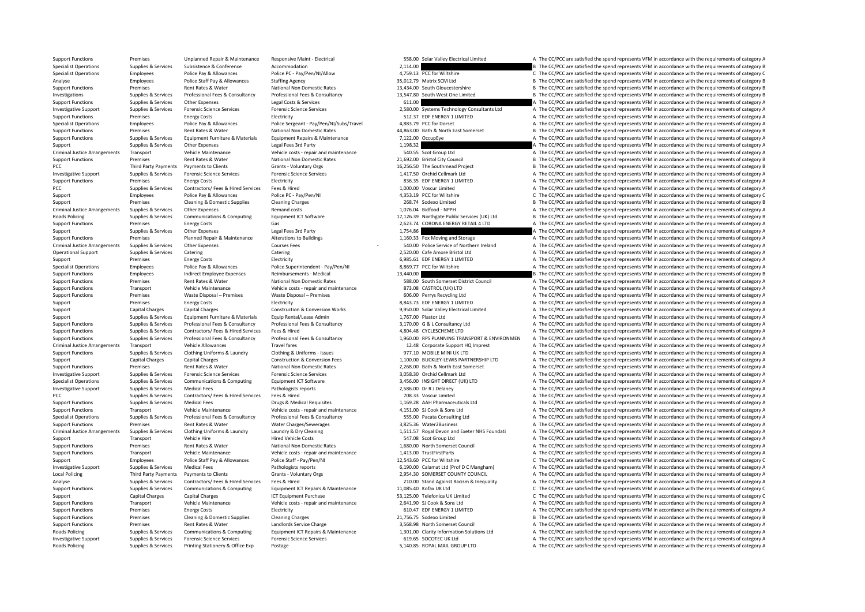Criminal JusticePCC Third Party Payments Criminal Justice**Roads Policing** Criminal JusticeCriminal JusticeCriminal Justice**Local Policing Roads Policing Roads Policing** 

Support Functions Premises Unplanned Repair & Maintenance Responsive Maint - Electrical Support Description and the Unclear Against Description of the CC/PCC are satisfied the spend represents VFM in accordance with the re Specialist Operations Supplies & Services Subsistence Subsistence Accommodation Accommodation 2,114.00 2,114.00 Specialist Operations Employees Police Pay & Allowances Police PC – Pay/Pen/NI/Allow 4,759.13 PCC for Wiltshire C The CC/PCC are satisfied the spend represents VFM in accordance with the requirements of category C and the Analyse Employees Police Staff Pay & Allowances Staffing Agency Staffing Agency 35,012.79 Matrix SCM Ltd B The CC/PCC are satisfied the spend represents VFM in accordance with the requirements of category B<br>Support Functio Premises Rent Rates & Water National Non Domestic Rates 13,434.00 South Gloucestershire B The CC/PCC are satisfied the spend represents VFM in accordance with the requirements of category B Investigations Supplies & Services Professional Fees & Consultancy Professional Fees & Consultancy Professional Fees & Consultancy Professional Fees & Consultancy 13,547.80 South West One Limited B The CC/PCC are satisfied Support Functions Supplies & Services Other Expenses Legal Costs & Services 611.00 **A The CC/PCC are satisfied the spend represents VFM in accordance with the requirements of category A The Services of the Services of the** Investigative Sunnort Sunnites & Services Forensic Science Services Forensic Science Services Forensic Science Services Forensic Science Services Processes Services and D.S.BO.OD Systems Technology Consultants Ltd A The CC Support Functions Premises Energy Costs Electricity Electricity 512.37 EDF ENERGY 1 LIMITED A The CC/PCC are satisfied the spend represents VFM in accordance with the requirements of category A Specialist Operations Employees Police Pay & Allowances Police Sergeant - Pay/Pen/NI/Subs/Travel 4,883.79 PCC for Dorset A The CC/PCC are satisfied the spend represents VFM in accordance with the requirements of category A Support Functions Premises Rent Rates & Water National Non Domestic Rates 44,863.00 Bath & North East Somerset B The CC/PCC are satisfied the spend represents VFM in accordance with the requirements of category B National Support Functions Supplies & Services Equipment Eurniture & Materials Equipment Repairs & Maintenance 7,122.00 OccupEye A The CC/PCC are satisfied the spend represents VFM in accordance with the requirements of category A Support Support Supporters Other Expenses Legal Fees 3rd Party 1,198.32 A The CC/PCC are satisfied the spend represents VFM in accordance with the requirements of category A Transport Vehicle Maintenance Vehicle costs - repair and maintenance 540.55 Scot Group Ltd A The CC/PCC are satisfied the spend represents VFM in accordance with the requirements of category A Support Functions Premises Rent Rates & Water National Non Domestic Rates 21,692.00 Bristol City Council B The CC/PCC are satisfied the spend represents VFM in accordance with the requirements of category B Payments to Clients Grants - Voluntary Orgs 16,256.50 The Southmead Project B The CC/PCC are satisfied the spend represents VFM in accordance with the requirements of category B Investigative Support Supplies & Services Forensic Science Services Forensic Science Services Forensic Science Services Forensic Science Services and the spend Cellmark Ltd A The CC/PCC are satisfied the spend represents V Support Functions Premises Energy Costs Finance Electricity Electricity and the Security and the Security and the CC/PCC are satisfied the spend represents VFM in accordance with the requirements of category A PCC Supplies A Services Contractors/ Fees & Hired Services Fees & Hired Services Fees & Hired 1,000.00 Voscur Limited A The CC/PCC are satisfied the spend represents VFM in accordance with the requirements of category A Support Employees Police Pay & Allowances Police PC - Pay/Pen/NI 4,353.19 PCC for Wiltshire C The CC/PCC are satisfied the spend represents VFM in accordance with the requirements of category C Support Premises Cleaning & Domestic Supplies Cleaning Charges 268.74 Sodexo Limited B The CC/PCC are satisfied the spend represents VFM in accordance with the requirements of category B Arrangements Supplies & Services Other Expenses Remand costs 1,076.04 Bidfood ‐ NPPH A The CC/PCC are satisfied the spend represents VFM in accordance with the requirements of category A Supplies & Services Communications & Computing Equipment ICT Software and the Software 17.126.39 Northeate Public Services (UK) Ltd B The CC/PCC are satisfied the spend represents VFM in accordance with the requirements of Support Functions Premises Energy Costs Gas Gas Support Communications Category A The CC/PCC are satisfied the spend represents VFM in accordance with the requirements of category A Support Controller Support Controller Su Support Supplies & Services Other Expenses Legal Fees 3rd Party Support 1,754.86 A The CC/PCC are satisfied the spend represents VFM in accordance with the requirements of category A The Support Functions Premises Planned Support Functions Premises Planned Repair & Maintenance Alterations to Buildings 1,160.33 Fox Moving and Storage A The CC/PCC are satisfied the spend represents VFM in accordance with the requirements of category A Arrangements Supplies & Services Other Expenses Courses Fees 540.0 ‐ 0 Police Service of Northern Ireland A The CC/PCC are satisfied the spend represents VFM in accordance with the requirements of category A Operational Support Supplies & Services Catering Catering Catering Catering Catering Catering Catering Catering Catering Catering 2,520.00 Cafe Amore Bristol Ltd A The CC/PCC are satisfied the spend represents VFM in accor Support Premises Energy Costs Electricity Electricity 6,985.61 EDF ENERGY 1 LIMITED A The CC/PCC are satisfied the spend represents VFM in accordance with the requirements of category A Specialist Operations Employees Police Pay & Allowances Police Superintendent - Pay/Pen/NI 8,869.77 PCC for Wiltshire A The CC/PCC are satisfied the spend represents VFM in accordance with the requirements of category A Support Functions Employees Indirect Employee Expenses Reimbursements - Medical 13,440.00 B The CC/PCC are satisfied the spend represents VFM in accordance with the requirements of category B Support Functions Premises Rent Rates & Water National Non Domestic Rates Rent Rates and the Support Functional Council A The CC/PCC are satisfied the spend represents VFM in accordance with the requirements of category A A The CC/PCC are satisfied the spend represents VFM in accordance with the requirements of category A Support Functions Premises Waste Disposal – Premises Waste Disposal – Premises Waste Disposal – Premises Waste Disposal – Premises Waste Disposal – Premises Waste Disposal – Premises Waste Disposal – Premises and the COV o Support Premises Energy Costs Finance Costs Electricity Electricity and the Same and the CC/PCC are satisfied the spend represents VFM in accordance with the requirements of category A Support Capital Charges Capital Charges Construction & Conversion Works 9,950.00 Solar Valley Electrical Limited A The CC/PCC are satisfied the spend represents VFM in accordance with the requirements of category A Support Supplies & Services Equipment Furniture & Materials Equip Rental/Lease Admin 1,767.00 Plastor Ltd A The CC/PCC are satisfied the spend represents VFM in accordance with the requirements of category A Supplies Supplies & Services Professional Fees & Consultancy Professional Fees & Consultancy Professional Fees & Consultancy Professional Fees & Consultancy and the Supplies A The CC/PCC are satisfied the spend represents Support Functions Supplies & Services Contractors/ Fees & Hired Services Fees & Hired Services Fees & Hired A,804.48 CYCLESCHEME LTD A The CC/PCC are satisfied the spend represents VFM in accordance with the requirements o Support Functions Supplies & Services Professional Fees & Consultancy Professional Fees & Consultancy Professional Fees & Consultancy Professional Fees & Consultancy 1,960.00 RPS PLANNING TRANSPORT & ENVIRONMEN A The CC/PC Arrangements Transport Vehicle Allowances Travel fares Travel fares Travel fares 12.48 Corporate Support HQ Imprest A The CC/PCC are satisfied the spend represents VFM in accordance with the requirements of category A Corp Support Functions Support Functions Clothing Units A The CC/PCC are satisfied the spend represents VFM in accordance with the requirements of category A The CC/PCC are satisfied the spend represents VFM in accordance with Support Capital Charges Capital Charges Construction & Construction & Conversion Fees 1,100.00 BUCKLEY-LEWIS PARTNERSHIP LTD A The CC/PCC are satisfied the spend represents VFM in accordance with the requirements of catego Support Functions Premises Rent Rates & Water National Non Domestic Rates 2,268.00 Bath & North East Somerset A The CC/PCC are satisfied the spend represents VFM in accordance with the requirements of category A Investigative Support Supplies & Services Forensic Science Services Forensic Science Services Forensic Science Services Forensic Science Services Forensic Science Services Forensic Science Services Forensic Science Service A The CC/PCC are satisfied the spend represents VFM in accordance with the requirements of category A Investigative Support Supplies & Services Medical Fees Pathologists reports Pathologists reports 2,586.00 Dr R J Delaney A The CC/PCC are satisfied the spend represents VFM in accordance with the requirements of category A PCC PCC Supplies A The CC/PCC are satisfied the spend represents VFM in accordance with the requirements of category A<br>Supplies & Services Medical Fees & Hired Perus & Medical Bequirities 1999 A The COC are satisfied the s Support Functions Support Supplies & Services Medical Fees Drugs & Medical Requisites 1,169.28 AAH Pharmaceuticals Ltd A The CC/PCC are satisfied the spend represents VFM in accordance with the requirements of category A T Support Functions Transport Vehicle Maintenance Vehicle costs ‐ repair and maintenance 4,151.00 SJ Cook & Sons Ltd A The CC/PCC are satisfied the spend represents VFM in accordance with the requirements of category A Supposite of the CO/PCC are satisfied the spend represent of the requirements of category A The CC/PCC are satisfied the spend represents VFM in accordance with the requirements of category A Support Functions Premises Rent Rates & Water Water Charges/Sewerages 3,825.36 Water 200361053 A The CC/PCC are satisfied the spend represents VFM in accordance with the requirements of category A The individual control of Sunnlies & Services Clothing Uniforms & Laundry Laundry & Dry Cleaning Sunnling 1.511.57 Royal Devon and Exeter NHS Foundati A The CC/PCC are satisfied the spend represents VFM in accordance with the requirements of catego Support Transport Vehicle Hire Menicle Costs Hired Vehicle Costs 547.08 Scot Group Ltd A The CC/PCC are satisfied the spend represents VFM in accordance with the requirements of category A Support Functions Premises Rent Rates & Water National Non Domestic Rates 1,680.00 North Somerset Council A The CC/PCC are satisfied the spend represents VFM in accordance with the requirements of category A The Support Fu Support Functions Transport Vehicle Maintenance Vehicle costs ‐ repair and maintenance 1,413.00 TrustFirstParts A The CC/PCC are satisfied the spend represents VFM in accordance with the requirements of category A The cost Support Employees Police Staff Pay & Allowances Police Staff - Pay/Pen/NI 12,543.60 PCC for Wiltshire C The CC/PCC are satisfied the spend represents VFM in accordance with the requirements of category C Investigative Support Supplies & Services Medical Fees Pathologists reports Pathologists reports 6,190.00 Calamat Ltd (Prof D C Mangham) A The CC/PCC are satisfied the spend represents VFM in accordance with the requiremen Third Party Payments Payments to Clients Crants - Voluntary Orgs 2,954.30 SOMERSET COUNTY COUNCIL A The CC/PCC are satisfied the spend represents VFM in accordance with the requirements of category A Analyse Supplies & Services Contractors/ Fees & Hired Services Fees & Hired 210.00 Stand Against Racism & Inequality A The CC/PCC are satisfied the spend represents VFM in accordance with the requirements of category A Support Functions Supplies & Services Communications & Computing Equipment ICT Repairs & Maintenance 11,085.40 Kofax UK Ltd C The CC/PCC are satisfied the spend represents VFM in accordance with the requirements of categor Support Capital Charges Capital Charges Capital Charges ICT Equipment Purchase 53,125.00 Telefonica UK Limited C The CC/PCC are satisfied the spend represents VFM in accordance with the requirements of category C Support Functions Transport Vehicle Maintenance Vehicle costs – repair and maintenance 2,641.90 SJ Cook & Sons Ltd A The CC/PCC are satisfied the spend represents VFM in accordance with the requirements of category A The C Support Functions Premises Energy Costs Functions Electricity Functions Electricity 610.47 EDF ENERGY 1 LIMITED A The CC/PCC are satisfied the spend represents VFM in accordance with the requirements of category A Support Functions Premises Cleaning & Domestic Supplies Cleaning Charges Cleaning Charges 21,756.75 Sodexo Limited B The CC/PCC are satisfied the spend represents VFM in accordance with the requirements of category B Support Functions Premises Rent Rates & Water Landlords Service Charge 3,568.98 North Somerset Council A The CC/PCC are satisfied the spend represents VFM in accordance with the requirements of category A The CARGES Analys Supplies & Services Communications & Computing Foujoment ICT Renairs & Maintenance 1.301.00 Clarity Information Solutions Ltd A The CC/PCC are satisfied the spend represents VEM in accordance with the requirements of categ Investigative Support Supplies & Services Forensic Science Services Forensic Science Services Forensic Science Services Forensic Science Services Forensic Science Services Forensic Science Services 619.65 SOCOTEC UK Ltd A Supplies & Services Printing Stationery & Office Exp Postage exponents of category A The CC/PCC are satisfied the spend represents VFM in accordance with the requirements of category A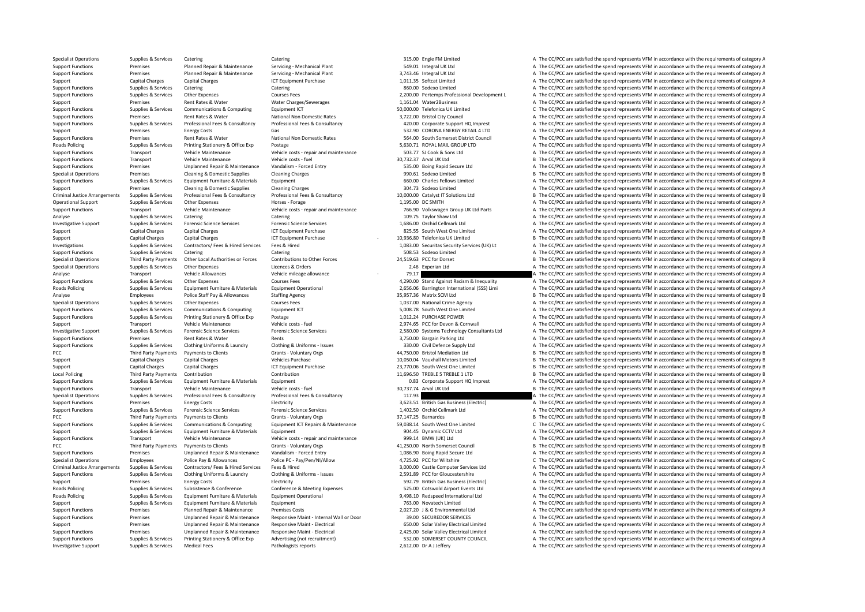Roads Policing Criminal JusticeRoads Policing PCC Third Party Payments **Local Policing** PCC Third Party Payments PCC Third Party Payments Criminal Justice**Roads Policing Roads Policing** 

Specialist Operations Supplies & Services Catering Catering Catering Catering Catering Catering Catering Catering Catering Catering a The CC/PCC are satisfied the spend represents VFM in accordance with the requirements of Support Functions Premises Planned Repair & Maintenance Servicing - Mechanical Plant 549.01 Integral UK Ltd A The CC/PCC are satisfied the spend represents VFM in accordance with the requirements of category A Support Functions Premises Planned Repair & Maintenance Servicing • Mechanical Plant 3,743.46 Integral UK Ltd A The CC/PCC are satisfied the spend represents VFM in accordance with the requirements of category A The Criter Support Capital Charges Capital Charges Capital Charges 1,011.35 Softcat Limited 1,000.35 Softcat Limited A The CC/PCC are satisfied the spend represents VFM in accordance with the requirements of category A The CC/PCC are Catering Catering Catering Catering Catering Catering Catering Catering Catering Catering Catering Catering Catering Catering Catering Catering S60.00 Sodexo Limited A The CC/PCC are satisfied the spend represents VFM in a Support Functions Supplies & Services Other Expenses Courses Fees Courses Fees 2,200.00 Pertemps Professional Development L A The CC/PCC are satisfied the spend represents VFM in accordance with the requirements of categor Support Premises Rent Rates & Water Water Charges/Sewerages A The CALCA Water2Business A The CC/PCC are satisfied the spend represents VFM in accordance with the requirements of category A Support Functions Supplies & Services Communications & Computing Faultoment ICT 50,000.00 Telefonica UK Limited C The CC/PCC are satisfied the spend represents VFM in accordance with the requirements of category C Support Functions Premises Rent Rates & Water National Non Domestic Rates 3,722.00 Bristol City Council A The CC/PCC are satisfied the spend represents VFM in accordance with the requirements of category A Supplies Supplies & Services Professional Fees & Consultancy Professional Fees & Consultancy Professional Fees & Consultancy Professional Fees & Consultancy and the consultancy and the component of category A The CC/PCC ar Support Premises Energy Costs Gas Gas Sazaway Corona Energy Costs Sazaway Contents of category A The CC/PCC are satisfied the spend represents VFM in accordance with the requirements of category A The Criminal Managements Support Functions Premises Rent Rates & Water National Non Domestic Rates 564.00 South Somerset District Council A The CC/PCC are satisfied the spend represents VFM in accordance with the requirements of category A Supplies & Services Printing Stationery & Office Exp Postage exponents are a service and the SQL 71 ROYAL MAIL GROUP LTD A The CC/PCC are satisfied the spend represents VFM in accordance with the requirements of category A Support Functions Transport Vehicle Maintenance Vehicle costs ‐ repair and maintenance 503.77 SJ Cook & Sons Ltd A The CC/PCC are satisfied the spend represents VFM in accordance with the requirements of category A Support Functions Transport Vehicle Maintenance Vehicle costs ‐ fuel 30,732.37 Arval UK Ltd B The CC/PCC are satisfied the spend represents VFM in accordance with the requirements of category B Support Functions Premises Unplanned Repair & Maintenance Vandalism - Forced Entry 535.00 Boing Rapid Secure Ltd A The CC/PCC are satisfied the spend represents VFM in accordance with the requirements of category A Specialist Operations Premises Cleaning & Domestic Supplies Cleaning Charges 990.61 Sodexo Limited B The CC/PCC are satisfied the spend represents VFM in accordance with the requirements of category B The control of the sp Support Functions Supplies & Services Equipment Eurotive & Materials Equipment 660.00 Charles Fellows Limited A The CC/PCC are satisfied the spend represents VFM in accordance with the requirements of category A Support Premises Cleaning & Domestic Supplies Cleaning Charges Cleaning Charges 304.73 Sodexo Limited A The CC/PCC are satisfied the spend represents VFM in accordance with the requirements of category A Supplies & Services Professional Fees & Consultancy Professional Fees & Consultancy Professional Fees & Consultancy Professional Fees & Consultancy 10,000.00 Catalyst IT Solutions Ltd B The CC/PCC are satisfied the spend r Operational Support Supplies & Services Other Expenses Morses - Forage Horses - Forage Horses - Forage 1,195.00 DC SMITH A The CC/PCC are satisfied the spend represents VFM in accordance with the requirements of category A Support Functions Transport Vehicle Maintenance Vehicle costs - renair and maintenance Vehicle costs - renair and maintenance 766.90 Volkswagen Groun UK Itd Parts A The CC/PCC are satisfied the spend represents VFM in acco Analyse Supplies Analyse Services Catering Catering Catering Catering Catering Catering Catering Catering Catering 109.75 Taylor Shaw Ltd A The CC/PCC are satisfied the spend represents VFM in accordance with the requireme Investigative Support Supplies & Services Forensic Science Services Forensic Science Services Forensic Science Services Forensic Science Services Forensic Science Services Forensic Science Services 1,686.00 Orchid Cellmark Support Capital Charges Capital Charges Capital Charges ICT Equipment Purchase 825.55 South West One Limited A The CC/PCC are satisfied the spend represents VFM in accordance with the requirements of category A The Contral Support Capital Charges Capital Charges Capital Charges 10,936.8 CHarges 10,936.80 Telefonica UK Limited B The CC/PCC are satisfied the spend represents VFM in accordance with the requirements of category B Supplies & Services Contractors/ Fees & Hired Services Fees & Hired Services Fees & Hired Area and Manuscript Securitas Security Servicus (UK) Lt A The CC/PCC are satisfied the spend represents VFM in accordance with the r Support Functions Supplies & Services Catering Catering Catering Catering Catering Catering Catering Catering Support Support The CC/PCC are satisfied the spend represents VFM in accordance with the requirements of categor B The CC/PCC are satisfied the spend represents VFM in accordance with the requirements of category B Specialist Operations Supplies & Services Other Expenses Licences & Orders Licences A Orders 2.46 Experian Ltd A The CC/PCC are satisfied the spend represents VFM in accordance with the requirements of category A Analyse Transport Vehicle Allowances Vehicle mileage allowance Vehicle mileage allowance 79.17 79.17 A The CC/PCC are satisfied the spend represents VFM in accordance with the requirements of category A Support Functions S Support Functions Supplies & Services Other Expenses Courses Fees Courses Fees Courses Fees Courses Fees Courses Fees and Against Racism & Inequality A The CC/PCC are satisfied the spend represents VFM in accordance with t A The CC/PCC are satisfied the spend represents VFM in accordance with the requirements of category A Analyse Employees Police Staff Pay & Allowances Staffing Agency 35,957.36 Matrix SCM Ltd B The CC/PCC are satisfied the spend represents VFM in accordance with the requirements of category B The Criteria agency and the req Courses Eees exceptions of category A The CC/PCC are satisfied the spend represents VFM in accordance with the requirements of category A The CC/PCC are satisfied the spend represents VFM in accordance with the requirement Support Functions Supplies & Services Communications & Computing Equipment ICT 5,008.78 South West One Limited A The CC/PCC are satisfied the spend represents VFM in accordance with the requirements of category A Support Functions Supplies & Services Printing Stationery & Office Exp Postage 1,012.24 PURCHASE POWER A The CC/PCC are satisfied the spend represents VFM in accordance with the requirements of category A Support Transport Vehicle Maintenance Vehicle costs – fuel Vehicle Costs – fuel Vehicle costs – fuel Vehicle costs – fuel A The CC/PCC are satisfied the spend represents VFM in accordance with the requirements of category A The CC/PCC are satisfied the spend represents VEM in accordance with the requirements of category A Support Functions Premises Rent Rates & Water Rents Rents Rents and the Support Function Rent A The CC/PCC are satisfied the spend represents VFM in accordance with the requirements of category A Supplies Supplies & Services Clothing Uniforms & Laundry Clothing & Uniforms - Issues and the state of the CONCIC are attacted the spend represents VFM in accordance with the requirements of category A Clothing Clothing & Payments Payments According to Clients Crants Crants Crants Crants Crants Crants Crants Crants According Crants According B The CC/PCC are satisfied the spend represents VFM in accordance with the requirements of category Support Capital Charges Capital Charges Vehicles Purchase Vehicles Purchase 10,050.04 Vauxhall Motors Limited B The CC/PCC are satisfied the spend represents VFM in accordance with the requirements of category B Support Capital Charges Capital Charges Capital Charges ICT Equipment Purchase 23,770.06 South West One Limited B The CC/PCC are satisfied the spend represents VFM in accordance with the requirements of category B  $\small \textbf{Local Politics} \begin{minipage}{0.5cm} \begin{minipage}{0.5cm} \begin{minipage}{0.5cm} \begin{minipage}{0.5cm} \begin{minipage}{0.5cm} \begin{minipage}{0.5cm} \begin{minipage}{0.5cm} \begin{minipage}{0.5cm} \begin{minipage}{0.5cm} \begin{minipage}{0.5cm} \begin{minipage}{0.5cm} \begin{minipage}{0.5cm} \begin{minipage}{0.5cm} \begin{minipage}{0.5cm} \begin{minipage}{0.5cm} \begin{minipage}{0.5cm} \begin{minipage}{0.5cm} \begin{minipage}{0$ Supplies & Services Equipment Furniture & Materials Equipment **Functions Corporations A The CC/PCC** are satisfied the spend represents VFM in accordance with the requirements of category A Support Functions Transport Vehicle Maintenance Vehicle costs - fuel 30,737.74 Arval UK Ltd B The CC/PCC are satisfied the spend represents VFM in accordance with the requirements of category B Specialist Operations Supplies & Services Professional Fees & Consultancy Professional Fees & Consultancy Professional Fees & Consultancy 117.93 A The CC/PCC are satisfied the spend represents VFM in accordance with the re Support Functions Support Functions Premises Energy Costs Sections Electricity 3,623.51 British Gas Business (Electric) A The CC/PCC are satisfied the spend represents VFM in accordance with the requirements of category A Support Functions Supplies & Services Forensic Science Services Forensic Science Services Forensic Science Services Forensic Science Services and the contract and the contract and the CC/PCC are satisfied the spend represe Payments to Clients Grants - Voluntary Orgs 37,147.25 Barnardos 37,147.25 Barnardos B The CC/PCC are satisfied the spend represents VFM in accordance with the requirements of category B Supplies Services Communications & Computing Equipment ICT Repairs & Maintenance 59,038.14 South West One Limited C The CC/PCC are satisfied the spend represents VFM in accordance with the requirements of category C and Eq Support Supplies & Services Equipment Eurotive & Materials Equipment 904.45 Dynamic CCTV Ltd A The CC/PCC are satisfied the spend represents VFM in accordance with the requirements of category A Support Functions Transport Vehicle Maintenance Vehicle costs - repair and maintenance 999.14 BMW (UK) Ltd A The CC/PCC are satisfied the spend represents VFM in accordance with the requirements of category A Payments to Clients Clients Grants - Voluntary Orgs examples and the ALLES AND ASSON BOTH SOMERGING COUNCILE B THE CC/PCC are satisfied the spend represents VFM in accordance with the requirements of category B The Some Th Support Functions Premises Unplanned Repair & Maintenance Vandalism ‐ Forced Entry 1,086.90 Boing Rapid Secure Ltd A The CC/PCC are satisfied the spend represents VFM in accordance with the requirements of category A The C Specialist Operations Employees Police Pay & Allowances Police PC - Pay/Pen/NI/Allow 4,725.92 PCC for Wiltshire C The CC/PCC are satisfied the spend represents VFM in accordance with the requirements of category C Arrangements Supplies & Services Contractors/ Fees & Hired Services Fees & Hired 3,000.00 Castle Computer Services Ltd A The CC/PCC are satisfied the spend represents VFM in accordance with the requirements of category A Support Functions Supplies & Services Clothing Uniforms & Laundry Clothing & Uniforms - Issues 2,591.89 PCC for Gloucestershire A The CC/PCC are satisfied the spend represents VFM in accordance with the requirements of cat Support Premises Energy Costs Electricity Electricity and Electricity 592.79 British Gas Business (Electric) A The CC/PCC are satisfied the spend represents VFM in accordance with the requirements of category A Policing Supplies & Services Subsistence & Conference Conference & Meeting Expenses 525.00 Cotswold Airport Events Ltd A The CC/PCC are satisfied the spend represents VFM in accordance with the requirements of category A Poplies & Services Equipment Furniture & Materials Equipment Operational 19,498.10 Redspeed International Ltd A The CC/PCC are satisfied the spend represents VFM in accordance with the requirements of category A The Suppli Support Supplies Agriculture Support Equipment Europe Equipment Equipment Fundering Equipment Purniture & Materials Equipment Equipment 763.00 Novatech Limited A The CC/PCC are satisfied the spend represents VFM in accorda Support Functions Premises Planned Repair & Maintenance Premises Costs 2,027.20 J & G Environmental Ltd A The CC/PCC are satisfied the spend represents VFM in accordance with the requirements of category A Support Functions Premises Unplanned Repair & Maintenance Responsive Maint - Internal Wall or Door 39.00 SECUREDOR SERVICES A The CC/PCC are satisfied the spend represents VFM in accordance with the requirements of categor Support Premises Unplanned Repair & Maintenance Responsive Maint - Electrical 650.00 Solar Valley Electrical Limited A The CC/PCC are satisfied the spend represents VFM in accordance with the requirements of category A The Support Functions Premises Unplanned Repair & Maintenance Responsive Maint - Electrical Maint Perchical Maintenance Responsive Maint - Electrical Maint Perchical Maint Perchical Limited A The CC/PCC are satisfied the spend Support Functions Supplies & Services Printing Stationery & Office Exp Advertising (not recruitment) 532.00 SOMERSET COUNTY COUNCIL A The CC/PCC are satisfied the spend represents VFM in accordance with the requirements of Investigative Support Supplies & Services Medical Fees Pathologists reports Pathologists reports 2,612.00 Dr A J Jeffery A The CC/PCC are satisfied the spend represents VFM in accordance with the requirements of category A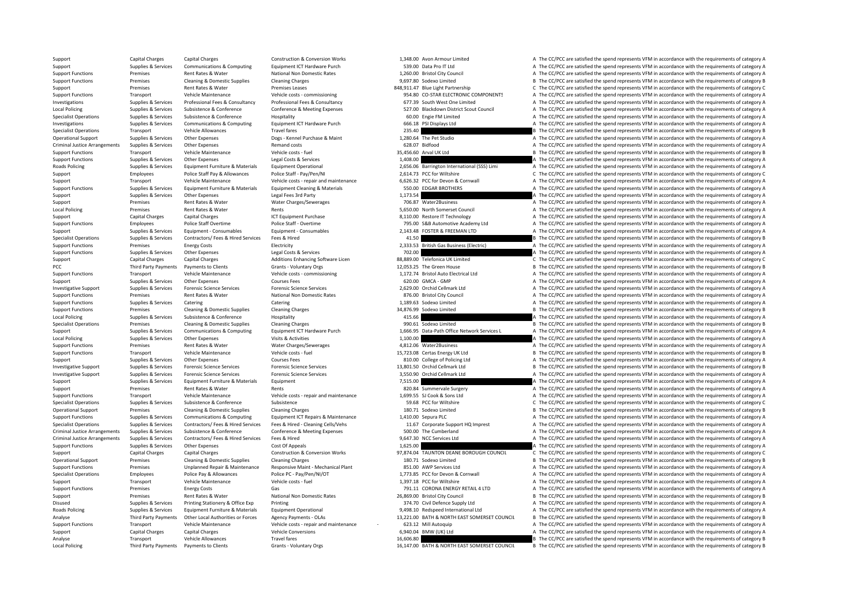Local Policing Criminal Justice**Roads Policing** Local Policing PCC Third Party Payments **Local Policing** LocalCriminal JusticeCriminal Justice**Roads Policing Local Policing** 

Support Capital Charges Capital Charges Construction & Construction & Conversion Works 1,348.00 Avon Armour Limited A The CC/PCC are satisfied the spend represents VFM in accordance with the requirements of category A Support Supplies & Services Communications & Computing Equipment ICT Hardware Purch 539.00 Data Pro IT Ltd A The CC/PCC are satisfied the spend represents VFM in accordance with the requirements of category A Support Functions Premises Rent Rates & Water National Non Domestic Rates 1,260.00 Bristol City Council A The CC/PCC are satisfied the spend represents VFM in accordance with the requirements of category A The CC/PCC are s Support Functions Premises Cleaning & Domestic Supplies Cleaning Charges Cleaning Charges Cleaning Charges exacts and the spend and the spend represents VFM in accordance with the requirements of category B Support Premise Support Premises Rent Rates & Water Premises Leases 848,911.47 Blue Light Partnership C The CC/PCC are satisfied the spend represents VFM in accordance with the requirements of category C Support Functions Transport Vehicle Maintenance Vehicle costs ‐ commissioning 954.80 CO‐STAR ELECTRONIC COMPONENTS A The CC/PCC are satisfied the spend represents VFM in accordance with the requirements of category A Supplies & Services Professional Fees & Consultancy Professional Fees & Consultancy Professional Fees & Consultancy Professional Fees & Consultancy 677.39 South West One Limited A The CC/PCC are satisfied the spend represe Supplies & Services Subsistence & Conference Conference Conference Conference Conference Conference Conference Conference Conference Conference Conference Conference Conference Conference Conference Conference Conference C Specialist Operations Supplies & Services Subsistence Subsistence Hospitality Hospitality Hospitality 60.00 Engie FM Limited A The CC/PCC are satisfied the spend represents VFM in accordance with the requirements of catego Investigations Supplies & Services Communications & Computing Equipment ICT Hardware Purch 666.18 PSI Displays Ltd A The CC/PCC are satisfied the spend represents VFM in accordance with the requirements of category A Specialist Operations Transport Vehicle Allowances Travel fares 235.40 235.40 B The CC/PCC are satisfied the spend represents VFM in accordance with the requirements of category B The CO/PCC are satisfied the spend represe Operational Support Supplies & Services Other Expenses Dogs - Kennel Purchase & Maint 1,280.64 The Pet Studio A The CC/PCC are satisfied the spend represents VFM in accordance with the requirements of category A Arrangements Supplies & Services Other Expenses Remand costs 628.07 Bidfood A The CC/PCC are satisfied the spend represents VFM in accordance with the requirements of category A Support Functions Transport Vehicle Maintenance Vehicle costs – fuel and Vehicle costs – fuel 35,456.60 Arval UK Ltd B The CC/PCC are satisfied the spend represents VFM in accordance with the requirements of category B Support Functions Supplies & Services Other Expenses Legal Costs & Services 1,408.00 A The CC/PCC are satisfied the spend represents VFM in accordance with the requirements of category A Supplies & Services Equipment Furniture & Materials Equipment Operational 2,656.06 Barrington International (SSS) Limi A The CC/PCC are satisfied the spend represents VFM in accordance with the requirements of category A Support Employees Police Staff Pay & Allowances Police Staff - Pay/Pen/NI 2,614.73 PCC for Wiltshire C The CC/PCC are satisfied the spend represents VFM in accordance with the requirements of category C Support Transport Vehicle Maintenance Vehicle costs ‐ repair and maintenance 6,626.32 PCC for Devon & Cornwall A The CC/PCC are satisfied the spend represents VFM in accordance with the requirements of category A The Crime Support Functions Supplies & Services Equipment Furniture & Materials Equipment Cleaning & Materials a S50.00 EDGAR BROTHERS A The CC/PCC are satisfied the spend represents VFM in accordance with the requirements of catego Suppoirs Supplies & Services Other Expenses Legal Fees 3rd Party 1,173.54 A The CC/PCC are satisfied the spend represents VFM in accordance with the requirements of category A Support Premises Rent Rates & Water Water Charges/Sewerages 706.87 Water2Business A The CC/PCC are satisfied the spend represents VFM in accordance with the requirements of category A Premises Rent Rates & Water Rents Rents Rents Rents Set and The CC/PCC are satisfied the spend represents VFM in accordance with the requirements of category A Support Capital Charges Capital Charges Scapital Charges Scapital Charges ICT Equipment Purchase 8,110.00 Restore IT Technology A The CC/PCC are satisfied the spend represents VFM in accordance with the requirements of cat Support Functions Employees Police Staff Overtime Police Staff - Overtime Police Staff - Overtime Police Staff - Overtime<br>
Support Police Stategory A The CC/PCC are satisfied the spend represents VFM in accordance with the Support Supplies & Services Equipment - Consumables Equipment - Consumables Equipment - Consumables 2,143.48 FOSTER & FREEMAN LTD A The CC/PCC are satisfied the spend represents VFM in accordance with the requirements of c Supplies Services Contractors/ Fees & Hired Services Fees & Hired Services Fees & Hired Services Fees & Hired Services Fees & Hired 41.50 B The CC/PCC are satisfied the spend represents VFM in accordance with the requireme Support Functions Premises Energy Costs Electricity Electricity and the COSTS Electricity 2,333.53 British Gas Business (Electricity A The CC/PCC are satisfied the spend represents VFM in accordance with the requirements o Support Functions Supplies & Services Other Expenses Legal Costs & Services 202.00 A The CC/PCC are satisfied the spend represents VFM in accordance with the requirements of category C<br>Support Capital Charges Capital Charg Support Capital Charges Capital Charges Additions Enhancing Software Licen 88,889.00 Telefonica UK Limited C The CC/PCC are satisfied the spend represents VFM in accordance with the requirements of category C Payments to Clients Grants - Voluntary Orgs **12,053.25** The Green House B The CC/PCC are satisfied the spend represents VFM in accordance with the requirements of category B Support Transport Vehicle Maintenance Vehicle costs ‐ commissioning 1,172.74 Bristol Auto Electrical Ltd A The CC/PCC are satisfied the spend represents VFM in accordance with the requirements of category A Support Supplies & Services Other Expenses Courses Fees Courses Fees 620.00 GMCA - GMP A The CC/PCC are satisfied the spend represents VFM in accordance with the requirements of category A The Support Support Support Suppo A The CC/PCC are satisfied the spend represents VFM in accordance with the requirements of category A Support Functions Premises Rent Rates & Water National Non Domestic Rates 876.00 Bristol City Council and A The CC/PCC are satisfied the spend represents VFM in accordance with the requirements of category A The Crity Coun Support Functions Supplies & Services Catering Catering Catering Catering Catering Catering Catering Catering Catering Catering Catering Catering Catering Category A The CC/PCC are satisfied the spend represents VFM in acc Support Functions Premises Cleaning & Domestic Supplies Cleaning Charges Cleaning Charges 24,876.99 Sodexo Limited B The CC/PCC are satisfied the spend represents VFM in accordance with the requirements of category B Policing Supplies & Subsistence & Conference Hospitality Hospitality 415.66 A The CC/PCC are satisfied the spend represents VFM in accordance with the requirements of category A Specialist Operations Premises Cleaning & Domestic Supplies Cleaning Charges Cleaning Charges Cleaning Charges 990.61 Sodexo Limited B The CC/PCC are satisfied the spend represents VFM in accordance with the requirements o Supplies & Services Communications & Communications & Communications and Communications and Communications of Communications and Communications and Communications of Communications and Communications and Communications and Policing Supplies & Services Other Expenses Visits & Activities 1,100.00 A The CC/PCC are satisfied the spend represents VFM in accordance with the requirements of category A Support Functions Premises Rent Rates & Water Water Charges/Sewerages A The CONCLET A The CC/PCC are satisfied the spend represents VFM in accordance with the requirements of category A The Support Functions Transport Vehi Transport Vehicle Maintenance Vehicle costs ‐ fuel 15,723.08 Certas Energy UK Ltd B The CC/PCC are satisfied the spend represents VFM in accordance with the requirements of category B Support Supplies & Services Other Expenses Courses Fees Courses Fees 810.00 College of Policing Ltd A The CC/PCC are satisfied the spend represents VFM in accordance with the requirements of category A Investigative Support Supplies & Services Forensic Science Services Forensic Science Services Forensic Science Services Forensic Science Services Forensic Science Services and Support B The CC/PCC are satisfied the spend r Investigative Support Supplies & Services Forensic Science Services Forensic Science Services Forensic Science Services Forensic Science Services and the control of the Support A The CC/PCC are satisfied the spend represen Support Supplies & Services Equipment Furniture & Materials Equipment Furniture & Materials Equipment Furniture & Materials Equipment 7,515.00 A The CC/PCC are satisfied the spend represents VFM in accordance with the requ Support Premises Rent Rates & Water Rents Rents Rents Rents 820.84 Summervale Surgery A The CC/PCC are satisfied the spend represents VFM in accordance with the requirements of category A Support Functions Transport Vehicle Maintenance Vehicle costs ‐ repair and maintenance 1,699.55 SJ Cook & Sons Ltd A The CC/PCC are satisfied the spend represents VFM in accordance with the requirements of category A The c Specialist Operations Supplies & Services Subsistence Subsistence Subsistence Subsistence Subsistence Subsistence Subsistence Subsistence Subsistence Subsistence Subsistence Subsistence Subsistence Subsistence Subsistence Operational Support Premises Cleaning & Domestic Supplies Cleaning Charges Cleaning Charges 180.71 Sodexo Limited B The CC/PCC are satisfied the spend represents VFM in accordance with the requirements of category B Support Functions Supplies & Services Communications & Computing Equipment ICT Repairs & Maintenance 1,410.00 Sepura PLC A The CC/PCC are satisfied the spend represents VFM in accordance with the requirements of category A Supplies & Services Contractors/Fees & Hired Services Fees & Hired - Cleaning Cells/Vehs 11.67 Corporate Support HQ Imprest A The CC/PCC are satisfied the spend represents VFM in accordance with the requirements of categor Arrangements Supplies & Services Subsistence & Conference Conference & Meeting Expenses 500.00 The Cumberland A The CC/PCC are satisfied the spend represents VFM in accordance with the requirements of category A Arrangements Supplies & Services Contractors/ Fees & Hired Services Fees & Hired Services Fees & Hired 9,647.30 NCC Services Ltd A The CC/PCC are satisfied the spend represents VFM in accordance with the requirements of ca Support Functions Supplies & Services Other Expenses Cost Of Appeals Cost Of Appeals Cost Of Appeals Cost Of Appeals 1,625.00 A The CC/PCC are satisfied the spend represents VFM in accordance with the requirements of categ Support Capital Charges Capital Charges Capital Charges Construction & Conversion Works 97,874.04 TAUNTON DEANE BOROUGH COUNCIL C The CC/PCC are satisfied the spend represents VFM in accordance with the requirements of cat Premises Cleaning & Domestic Supplies Cleaning Charges 180.71 Sodexo Limited B The CC/PCC are satisfied the spend represents VFM in accordance with the requirements of category B Support Functions Premises Unplanned Repair & Maintenance Responsive Maint · Mechanical Plant 851.00 AWP Services Ltd A The CC/PCC are satisfied the spend represents VFM in accordance with the requirements of category A Specialist Operations Employees Police Pay & Allowances Police PC - Pay/Pen/NI/OT 1,773.85 PCC for Devon & Cornwall A The CC/PCC are satisfied the spend represents VFM in accordance with the requirements of category A The Support Transport Vehicle Maintenance Vehicle costs – fuel vehicle costs – fuel 1,397.18 PCC for Wiltshire A The CC/PCC are satisfied the spend represents VFM in accordance with the requirements of category A The CC/PCC ar Support Functions Premises Energy Costs Gas Gas The CORONA ENERGY RETAIL 4 LTD A The CC/PCC are satisfied the spend represents VFM in accordance with the requirements of category A Support Premises Rent Rates & Water National Non Domestic Rates 26,869.00 Bristol City Council and a B The CC/PCC are satisfied the spend represents VFM in accordance with the requirements of category B The City Council B Disused Supplies & Services Printing Stationery & Office Exp Printing and Printing and Printing 374.70 Civil Defence Supply Ltd A The CC/PCC are satisfied the spend represents VFM in accordance with the requirements of cat Policing Supplies & Services Equipment Furniture & Materials Equipment Operational 9,498.10 Redspeed International Ltd A The CC/PCC are satisfied the spend represents VFM in accordance with the requirements of category A Third Party Payments Other Local Authorities or Forces Agency Payments - OLAs 13,221.00 BATH & NORTH EAST SOMERSET COUNCIL B The CC/PCC are satisfied the spend represents VFM in accordance with the requirements of category Support Functions Transport Vehicle Maintenance Vehicle costs - repair and maintenance - 623.12 Mill Autoquip A The CC/PCC are satisfied the spend represents VFM in accordance with the requirements of category A Support Capital Charges Capital Charges Vehicle Conversions 6,940.04 BMW (UK) Ltd A The CC/PCC are satisfied the spend represents VFM in accordance with the requirements of category A Analyse Transport Vehicle Allowances Travel fares Travel fares 16,606.80 B The CC/PCC are satisfied the spend represents VFM in accordance with the requirements of category B Third Party Payments Payments to Clients Grants - Voluntary Orgs 16,147.00 BATH & NORTH EAST SOMERSET COUNCIL B The CC/PCC are satisfied the spend represents VFM in accordance with the requirements of category B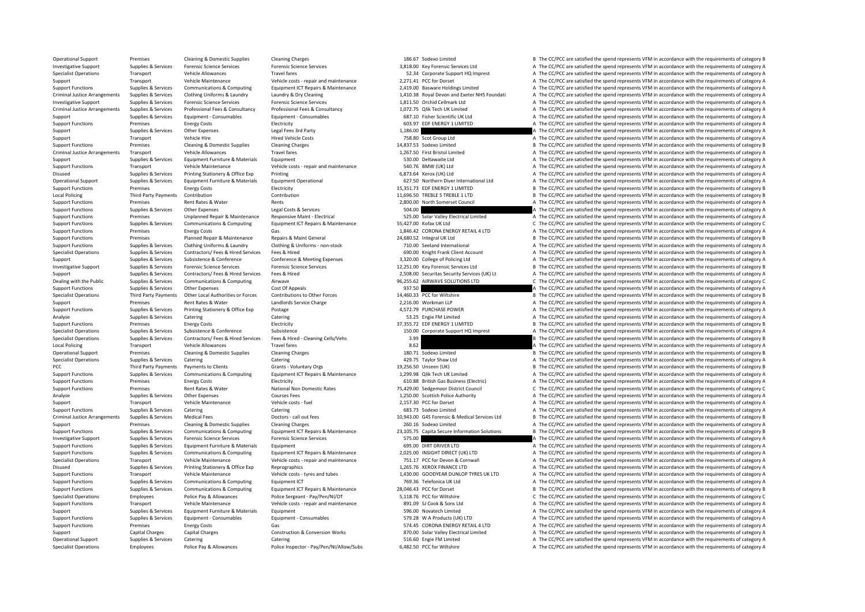Criminal JusticeCriminal JusticeCriminal Justice**Local Policing Local Policing** PCC Third Party Payments Criminal Justice

Specialist Operations Employees Police Pay & Allowances Police Inspector - Pay/Pen/NI/Allow/Subs 6,482.50 PCC for Wiltshire 6.482.50 PC for Wiltshire A The CC/PCC are satisfied the spend represents VFM in accordance with t

Operational Support Premises Cleaning & Domestic Supplies Cleaning Charges Cleaning Charges 186.67 Sodexo Limited B The CC/PCC are satisfied the spend represents VFM in accordance with the requirements of category B Investigative Support Supplies & Services Forensic Science Services Forensic Science Services Forensic Science Services Forensic Science Services (Services and S.818.00 Key Forensic Services Ltd A The CC/PCC are satisfied Specialist Operations Transport Vehicle Allowances Travel fares Travel fares Travel fares Travel fares and the requirements of category A The CC/PCC are satisfied the spend represents VFM in accordance with the requirement Support Transport Vehicle Maintenance Vehicle costs ‐ repair and maintenance 2,271.41 PCC for Dorset A The CC/PCC are satisfied the spend represents VFM in accordance with the requirements of category A The CL/PCC are sati 2,419.00 Basware Holdings Limited<br>1,410.38 Royal Devon and Exeter NHS Foundati A The CC/PCC are satisfied the spend represents VFM in accordance with the requirements of category A Supplies & Services Clothing Uniforms & Laundry Marchaeory A. Dry Cleaning Supplies and Exeter NHS Foundati A The CC/PCC are satisfied the spend represents VFM in accordance with the requirements of category A Investigative Support Supplies & Services Forensic Science Services Forensic Science Services Forensic Science Services Forensic Science Services Forensic Science Services Forensic Science Services Forensic Science Service Supplies & Services Professional Fees & Consultancy Professional Fees & Consultancy 1.072.75 Olik Tech UK Limited A The CC/PCC are satisfied the spend represents VFM in accordance with the requirements of category A Support Support Supportes Equipment - Consumables Equipment - Consumables Equipment - Consumables 687.10 Fisher Scientific UK Ltd A The CC/PCC are satisfied the spend represents VFM in accordance with the requirements of c Support Functions Premises Energy Costs Electricity Electricity Electricity Electricity Electricity and the costs Energy Costs Electricity Electricity and the spend of the CC/PCC are satisfied the spend represents VFM in a Supplies & Services Other Expenses Legal Fees 3rd Party 1,186.00 A The CC/PCC are satisfied the spend represents VFM in accordance with the requirements of category A Support Transport Vehicle Hire Hired Vehicle Costs 758.80 Scot Group Ltd A The CC/PCC are satisfied the spend represents VFM in accordance with the requirements of category A Support Functions Premises Cleaning & Domestic Supplies Cleaning Charges Cleaning Charges 14,837.53 Sodexo Limited B The CC/PCC are satisfied the spend represents VFM in accordance with the requirements of category B Travel fares Travel fares Travel fares Travel fares and the Section Limited A The CC/PCC are satisfied the spend represents VFM in accordance with the requirements of category A Support Supplies & Services Equipment Furniture & Materials Equipment Equipment 530.00 Deltawaite Ltd A The CC/PCC are satisfied the spend represents VFM in accordance with the requirements of category A Support Functions Transport Vehicle Maintenance Vehicle costs - repair and maintenance 540.76 BMW (UK) Ltd A The CC/PCC are satisfied the spend represents VFM in accordance with the requirements of category A Disused Supplies & Services Printing Stationery & Office Exp Printing 100 Printing 100 Printing 1,000 Printing 1,000 Printing 1,000 Printing 1,000 Printing 1,000 Printing 1,000 Printing 1,000 Printing 1,000 Printing 1,000 Operational Support Supplies & Services Equipment Furniture & Materials Equipment Operational examples and the CONCOMERCIAL CONCORTENT ATTHE CONCORTENT ATTHE CONCORTENT ATTHE CONCORTENT SUPPORT PRESSURIAL SUPPORT ATTENTS O Support Functions Premises Energy Costs Electricity Electricity and the Support of the Support The CC/PCC are satisfied the spend represents VFM in accordance with the requirements of category B Third Party Payments Contribution Contribution Contribution Contribution Contribution Contribution Contribution Contribution Contribution Contribution Contribution Contribution Contribution Contribution and Contribution an Support Functions Premises Rent Rates & Water Rents 2,800.00 North Somerset Council A The CC/PCC are satisfied the spend represents VFM in accordance with the requirements of category A Support Functions Supplies & Services Other Expenses Legal Costs & Services Support The CO/PCC are satisfied the spend represents VFM in accordance with the requirements of category A Support Functions Premises Unplanned Repair & Maintenance Responsive Maint Electrical Support and the S25.00 Solar Valley Electrical Limited A The CC/PCC are satisfied the spend represents VFM in accordance with the requir Support Functions Supplies & Services Communications & Computing Equipment ICT Repairs & Maintenance 197427.00 Kofax UK Ltd COMA ENGLACTIC CREC CARCE SUPPORT CREC COROC are satisfied the spend represents VFM in accordance Support Functions Premises Containers A The CC/PCC are satisfied the spend represents VFM in accordance with the requirements of category A<br>24 680.52 Integral LIK I the Support Research A The CC/PCC are satisfied the spend Support Functions Premises Planned Repair & Maintenance Repairs & Maint General 24,680.52 Integral UK Ltd B The CC/PCC are satisfied the spend represents VFM in accordance with the requirements of category B Support Functions Supporters Services Clothing Uniforms & Laundry Clothing & Uniforms - non-stock 710.00 Seeland International A The CC/PCC are satisfied the spend represents VFM in accordance with the requirements of cate Supplies & Supplies & Services Contractors/ Fees & Hired Services Fees & Hired Services Fees & Hired Services Fees & Hired Services Fees & Hired And a service of the CONC Hire Account and a The CC/PCC are satisfied the spe Support Supplies & Services Subsistence & Conference Conference & Meeting Expenses 3,320.00 College of Policing Ltd A The CC/PCC are satisfied the spend represents VFM in accordance with the requirements of category A Investigative Support Supplies & Services Forensic Science Services Forensic Science Services Forensic Science Services Forensic Science Services Forensic Science Services (12,251.00 Key Forensic Services Ltd B The CC/PCC Support Supplies & Services Contractors/ Fees & Hired Services Fees & Hired 2,508.00 Securitas Security Services (UK) Lt A The CC/PCC are satisfied the spend represents VFM in accordance with the requirements of category C Dealing with the Public Supplies & Services Communications & Computing Airwave Airwave Airwave 96,255.62 AIRWAVE SOLUTIONS LTD C The CC/PCC are satisfied the spend represents VFM in accordance with the requirements of cate Support Functions Supplies a Supplies of Appeals Cost of Appeals Appeals Appeals Appeals are conserved the spend represents at The CC/PCC are satisfied the spend represents VFM in accordance with the requirements of catego Specialist Operations Third Party Payments Other Local Authorities or Forces Contributions to Other Forces 14,460.33 PCC for Wiltshire B The CC/PCC are satisfied the spend represents VFM in accordance with the requirements Support Premises Rent Rates & Water Landlords Service Charge 2,216.00 Workman LLP A The CC/PCC are satisfied the spend represents VFM in accordance with the requirements of category A Support Functions Supplies & Services Printing Stationery & Office Exp Postage a manual protection and the station of the Service A The CC/PCC are satisfied the spend represents VFM in accordance with the requirements of c Analyse Supplies & Services Catering Catering Catering Catering Catering Catering Catering Catering Catering Catering Catering Catering Catering S3.25 Engie FM Limited A The CC/PCC are satisfied the spend represents VFM in Support Functions Premises Energy Costs Electricity Electricity (Electricity and the Support Electricity and the Support Electricity and the CC/PCC are satisfied the spend represents VFM in accordance with the requirements Specialist Operations Supplies & Services Subsistence Subsistence Subsistence Subsistence Subsistence Subsistence Subsistence Subsistence Subsistence Subsistence Subsistence Subsistence Subsistence Subsistence Subsistence Specialist Operations Supplies & Services Contractors/ Fees & Hired Services Fees & Hired - Cleaning Cells/Vehs 3.99 3.99 B The CC/PCC are satisfied the spend represents VFM in accordance with the requirements of category  $\begin{minipage}[c]{0.1\textwidth} \begin{subfigure}[c]{0.1\textwidth} \begin{subfigure}[c]{0.1\textwidth} \begin{subfigure}[c]{0.1\textwidth} \begin{subfigure}[c]{0.1\textwidth} \begin{subfigure}[c]{0.1\textwidth} \begin{subfigure}[c]{0.1\textwidth} \begin{subfigure}[c]{0.1\textwidth} \begin{subfigure}[c]{0.1\textwidth} \begin{subfigure}[c]{0.1\textwidth} \begin{subfigure}[c]{0.1\textwidth} \begin{subfigure}[c]{0.1\textwidth} \begin{subfigure}[c]{0.1\textwidth} \begin{subfigure}[c]{0.1\textwidth} \begin{subfigure}[c]{0.$ Premises Cleaning & Domestic Supplies Cleaning Charges 180.71 Sodexo Limited B The CC/PCC are satisfied the spend represents VFM in accordance with the requirements of category B Specialist Operations Supplies & Services Catering Catering Catering Catering Catering Catering Catering Category A The CC/PCC are satisfied the spend represents VFM in accordance with the requirements of category A Payments to Clients Grants - Voluntary Orgs 19,256.50 Unseen (UK) B The CC/PCC are satisfied the spend represents VFM in accordance with the requirements of category B Supplies Supplies & Services Communications & Computing Equipment ICT Repairs & Maintenance 1,299.98 Qlik Tech UK Limited A The CC/PCC are satisfied the spend represents VFM in accordance with the requirements of category Functions Premises Energy Costs Electricity Electricity Electricity and the Support Electricity 610.88 British Gas Business (Electricity A The CC/PCC are satisfied the spend represents VFM in accordance with the requiremen Support Functions Premises Rent Rates & Water National Non Domestic Rates 75,429.00 Sedgemoor District Council C The CC/PCC are satisfied the spend represents VFM in accordance with the requirements of category C Analyse Supplies & Services Other Expenses Courses Fees Courses Fees Supplies A The CC/PCC are satisfied the spend represents VFM in accordance with the requirements of category A The moved in a the crystal of the Developm Support Transport Vehicle Maintenance Vehicle costs – fuel 2,157.30 PCC for Dorset A The CC/PCC are satisfied the spend represents VFM in accordance with the requirements of category A Support Functions Supplies & Services Catering Catering Catering Catering Catering Catering Catering Catering Catering Catering Catering Catering Catering Catering Catering Catering Catering Catering Catering Catering Cate Arrangements Supplies & Services Medical Fees Doctors ‐ call out fees 10,943.00 G4S Forensic & Medical Services Ltd B The CC/PCC are satisfied the spend represents VFM in accordance with the requirements of category B Support Premises Cleaning & Domestic Supplies Cleaning Charges 260.16 Sodexo Limited A The CC/PCC are satisfied the spend represents VFM in accordance with the requirements of category A The Criminal Charges 27105.75 Canit Sunnort Eungelies & Services Communications & Computing Foujoment ICT Repairs & Maintenance 23.105.75 Capita Secure Information Solutions B. The CC/PCC are satisfied the spend represents VEM in accordance with the requirem Investigative Support Supplies & Services Forensic Science Services Forensic Science Services Forensic Science Services Forensic Science Services Forensic Science Services 575.00 STS.00 A The CC/PCC are satisfied the spend Support Functions Supplies & Services Equipment Eurniture & Materials Equipment Equipment Equipment Equipment Equipment and the Support Equipment and the Services Equipment Equipment Equipment Equipment Equipment Equipment Support Functions Supplies & Services Communications & Computing Equipment ICT Repairs & Maintenance 2,025.00 INSIGHT DIRECT (UK) LTD A The CC/PCC are satisfied the spend represents VEM in accordance with the requirements Specialist Operations Transport Vehicle Maintenance Vehicle costs ‐ repair and maintenance 751.17 PCC for Devon & Cornwall A The CC/PCC are satisfied the spend represents VFM in accordance with the requirements of category Disused Supplies & Services Printing Stationery & Office Exp Reprographics Reprographics 1,265.76 XEROX FINANCE LTD A The CC/PCC are satisfied the spend represents VFM in accordance with the requirements of category A Support Functions Transport Vehicle Maintenance Vehicle costs ‐ tyres and tubes 1,430.00 GOODYEAR DUNLOP TYRES UK LTD A The CC/PCC are satisfied the spend represents VFM in accordance with the requirements of category A Support Functions Supplies & Services Communications & Computing Equipment ICT 769.36 Telefonica UK Ltd A The CC/PCC are satisfied the spend represents VFM in accordance with the requirements of category A Support Functions Supplies & Services Communications & Computing Equipment ICT Repairs & Maintenance 28,046.43 PCC for Dorset B The CC/PCC are satisfied the spend represents VFM in accordance with the requirements of categ Specialist Operations Employees Police Pay & Allowances Police Sergeant - Pay/Pen/NI/OT 5,118.76 PCC for Wiltshire C The CC/PCC are satisfied the spend represents VFM in accordance with the requirements of category C<br>Suppo Transport Vehicle Maintenance Vehicle costs ‐ repair and maintenance 891.09 SJ Cook & Sons Ltd A The CC/PCC are satisfied the spend represents VFM in accordance with the requirements of category A Support Supplies & Services Equipment Europeiance A Detection of category A The CC/PC are satisfied the spend represents VFM in accordance with the requirements of category A Support Functions Supplies & Services Equipment - Consumables Equipment - Consumables Equipment - Consumables Equipment - Consumables 579.28 W A Products (UK) LTD A The CC/PCC are satisfied the spend represents VFM in acco Support Functions Premises Energy Costs Gas Gas Gas Gas STALA ENGLES ENGLES ENGLES ENGLES A The CC/PCC are satisfied the spend represents VFM in accordance with the requirements of category A Gas STALA ENGLES Construction Support Capital Charges Capital Charges Construction & Conversion Works 870.00 Solar Valley Electrical Limited A The CC/PCC are satisfied the spend represents VFM in accordance with the requirements of category A Operational Support Supplies & Services Catering Catering Catering Catering Catering Catering Catering Catering Catering Catering Catering States and States Support A The CC/PCC are satisfied the spend represents VFM in ac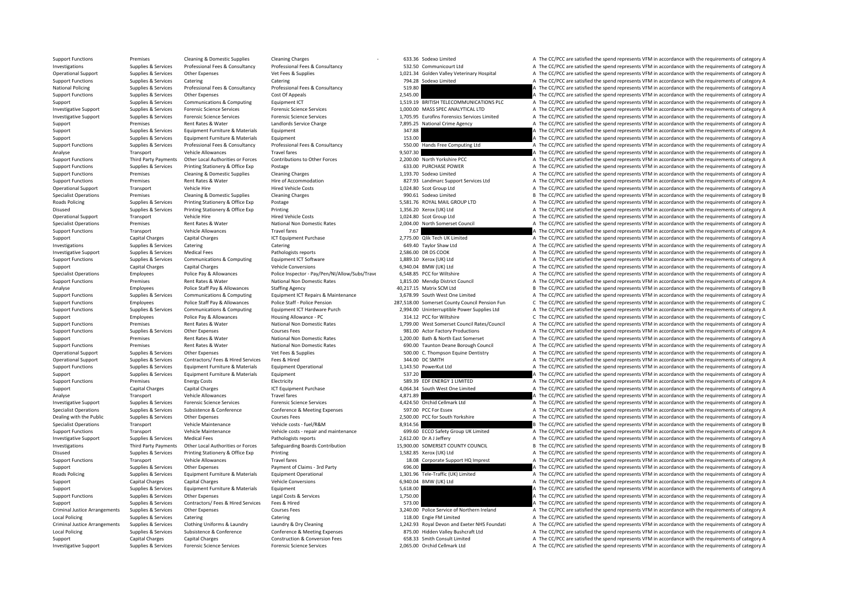**National Policing** Roads Policing **Roads Policing** Criminal Justice**Local Policing** Criminal JusticeLocal Policing

Support Functions Premises Cleaning & Domestic Supplies Cleaning Charges Cleaning Charges 633.36 Sodexo Limited A The CC/PCC are satisfied the spend represents VFM in accordance with the requirements of category A Investigations Supplies & Services Professional Fees & Consultancy Professional Fees & Consultancy 532.50 Communicourt Ltd A The CC/PCC are satisfied the spend represents VFM in accordance with the requirements of category Operational Support Supplies & Services Other Expenses Vet Fees & Supplies Vet Frame and the Support Support Support Support Support Support Support Support Support Support Support Support Support Support Category A The CC Support Functions Supplies & Services Catering Catering Catering Catering Catering Catering Catering Catering Catering Catering Catering 794.28 Sodexo Limited A The CC/PCC are satisfied the spend represents VFM in accordan Policing Supplies & Services Professional Fees & Consultancy Professional Fees & Consultancy 519.80 A The CC/PCC are satisfied the spend represents VFM in accordance with the requirements of category A Support Functions Supplies & Services Other Expenses Cost Of Appeals Cost Of Appeals 2,545.00 A The CC/PCC are satisfied the spend represents VFM in accordance with the requirements of category A Support Supplies & Services Communications & Computing Equipment ICT 3,519.19 BRITISH TELECOMMUNICATIONS PLC A The CC/PCC are satisfied the spend represents VFM in accordance with the requirements of category A The Cripmen Investigative Sunnort Sunnites & Services Forensic Science Services Forensic Science Services Forensic Science Services Forensic Science Services (Science Services of category A 1000.00 MASS SPEC ANAIYTICAL LTD A The CC/PC Investigative Support Support Support Support Support Support Support Support Support Support Support Support Support Support Support Support Support Support Support Support Support Support Support Support Support Support Support Premises Rent Rates & Water Landlords Service Charge 7,895.25 National Crime Agency A The CC/PCC are satisfied the spend represents VFM in accordance with the requirements of category A Supplies & Services Equipment Furniture & Materials Equipment 347.88 347.88 A The CC/PCC are satisfied the spend represents VFM in accordance with the requirements of category A The Criminal area in the requirements of cat Support Supplies & Services Equipment Europeiture & Materials Equipment 153.00 153.00 A The CC/PCC are satisfied the spend represents VFM in accordance with the requirements of category A Support Functions Supporters Supporters and the requirements of category A The CC/PCC are satisfied the spend represents VFM in accordance with the requirements of category A Analyse Transport Vehicle Allowances Travel fares Travel fares 9,507.30 A The CC/PCC are satisfied the spend represents VFM in accordance with the requirements of category A The Criteria and the result of category A The CC Support Functions Third Party Payments Other Local Authorities or Forces Contributions to Other Forces 2,200.00 North Yorkshire PCC And The CC/PCC are satisfied the spend represents VFM in accordance with the requirements Support Functions Supplies & Services Printing Stationery & Office Exp Postage Protage 633.00 PURCHASE POWER A The CC/PCC are satisfied the spend represents VFM in accordance with the requirements of category A Support Functions Premises Cleaning & Domestic Supplies Cleaning Charges Cleaning Charges Cleaning Charges Cleaning Charges Cleaning Charges Cleaning Charges Cleaning Charges Cleaning Charges Cleaning Charges Cleaning Char Support Functions Premises Rent Rates & Water Hire of Accommodation Hire of Accommodation 827.93 Landmarc Support Services Ltd A The CC/PCC are satisfied the spend represents VFM in accordance with the requirements of cate Operational Support Transport Vehicle Hire Hire Hired Vehicle Costs Hired Vehicle Costs 1,024.80 Scot Group Ltd A The CC/PCC are satisfied the spend represents VFM in accordance with the requirements of category A Specialist Operations Premises Cleaning & Domestic Supplies Cleaning Charges Cleaning Charges 990.61 Sodexo Limited B The CC/PCC are satisfied the spend represents VFM in accordance with the requirements of category B Poplies & Services Printing Stationery & Office Exp Postage Printing Printing Stationery & Office Exp Postage 1<br>Supplies A The CC/PCC are satisfied the spend represents VFM in accordance with the requirements of category A Disused Supplies & Services Printing Stationery & Office Exp Printing Printing 1,356.20 Xerox (UK) Ltd A The CC/PCC are satisfied the spend represents VFM in accordance with the requirements of category A Operational Support Transport Vehicle Hire Hire Hired Vehicle Costs Hired Vehicle Costs 1,024.80 Scot Group Ltd A The CC/PCC are satisfied the spend represents VFM in accordance with the requirements of category A Specialist Operations Premises Rent Rates Rent Rates Rent Rates National Non Domestic Rates 2,004.00 North Somerset Council A The CC/PCC are satisfied the spend represents VFM in accordance with the requirements of categor Travel fares Travel fares Travel fares Travel fares Travel fares a The CC/PCC are satisfied the spend represents VFM in accordance with the requirements of category A Support Capital Charges Capital Charges 2,715.00 Qlik Tech UK Limited A The CC/PCC are satisfied the spend represents VFM in accordance with the requirements of category A Investigations Supplies & Services Catering Catering Catering Catering Catering Catering Catering Catering Catering Catering Catering Catering Catering Catering Catering Catering Catering Catering Catering Catering Caterin Investigative Support Supplies & Services Medical Fees Pathologists reports Pathologists reports Pathologists reports 2,586.00 DR DS COOK A The CC/PCC are satisfied the spend represents VFM in accordance with the requireme A The CC/PCC are satisfied the spend represents VFM in accordance with the requirements of category A Support Capital Charges Capital Charges Vehicle Conversions 6,940.04 BMW (UK) Ltd A The CC/PCC are satisfied the spend represents VFM in accordance with the requirements of category A Specialist Operations Employees Police Pay & Allowances Police Inspector - Pay/Pen/NI/Allow/Subs/Trave 6.548.85 PCC for Willtshire A The CC/PCC are satisfied the spend represents VFM in accordance with the requirements of Support Functions Premises Rent Rates & Water National Non Domestic Rates 1,815.00 Mendip District Council A The CC/PCC are satisfied the spend represents VFM in accordance with the requirements of category A The Analyse E B The CC/PCC are satisfied the spend represents VFM in accordance with the requirements of category B Support Functions Supplies & Services Communications & Computing Equipment ICT Repairs & Maintenance 3,678.99 South West One Limited A The CC/PCC are satisfied the spend represents VFM in accordance with the requirements o Support Functions Fundayers Police Staff Pay & Allowances Police Staff - Police Staff - Police Staff - Police Staff - Police Staff - Police Staff - Police Staff - Police Staff - Police Staff - Police Pension 287.518.00 Som Support Functions Supplies & Services Communications & Computing Equipment ICT Hardware Purch 2,994.00 Uninterruptible Power Supplies Ltd A The CC/PCC are satisfied the spend represents VFM in accordance with the requireme Support Employees Police Pay & Allowances Housing Allowance - PC 314.12 PCC for Wiltshire C The CC/PCC are satisfied the spend represents VFM in accordance with the requirements of category C Support Functions Premises Rent Rates & Water National Non Domestic Rates 1,799.00 West Somerset Council Rates/Council A The CC/PCC are satisfied the spend represents VFM in accordance with the requirements of category A T Support Functions Supplies & Services Other Expenses Courses Fees 981.00 Actor Factory Productions A The CC/PCC are satisfied the spend represents VFM in accordance with the requirements of category A Support Premises Rent Rates & Water National Non Domestic Rates 1,200.00 Bath & North East Somerset A The CC/PCC are satisfied the spend represents VFM in accordance with the requirements of category A Support Functions Premises Rent Rates & Water National Non Domestic Rates 690.00 Taunton Deane Borough Council A The CC/PCC are satisfied the spend represents VFM in accordance with the requirements of category A The Crite Other Expenses Vet Fees & Supplies Vet Fees & Supplies 500.00 C. Thompson Equine Dentistry A The CC/PCC are satisfied the spend represents VFM in accordance with the requirements of category A The CC/PCC are satisfied the Operational Support Supplies & Services Contractors/ Fees & Hired Services Fees & Hired Services Fees & Hired 344.00 DC SMITH A The CC/PCC are satisfied the spend represents VFM in accordance with the requirements of categ Support Functions Supplies & Services Equipment Furniture & Materials Equipment Operational Equipment Operational 1,143.50 PowerKut Ltd A The CC/PCC are satisfied the spend represents VFM in accordance with the requirement Support Supplies & Services Equipment Furniture & Materials Equipment 537.20 A The CC/PCC are satisfied the spend represents VFM in accordance with the requirements of category A Energy Costs Electricity Electricity 589.39 EDF ENERGY 1 LIMITED A The CC/PCC are satisfied the spend represents VFM in accordance with the requirements of category A Support Capital Charges Capital Charges Capital Charges ICT Equipment Purchase 16 a The CCG Example 2014 A The CC/PCC are satisfied the spend represents VFM in accordance with the requirements of category A Analyse Transport Vehicle Allowances Travel fares Travel fares and the content of category A The CC/PCC are satisfied the spend represents VFM in accordance with the requirements of category A The CC/PCC are satisfied the Investigative Support Supplies & Services Forencic Science Services Forensic Science Services A J24.50 Orchid Cellmark Ltd A The CC/PCC are satisfied the spend represents VFM in accordance with the requirements of category Specialist Operations Supplies & Services Subsistence & Conference Conference & Meeting Expenses 597.00 PCC For Essex A The CC/PCC are satisfied the spend represents VFM in accordance with the requirements of category A Dealing with the Public Supplies Services Other Expenses Courses Fees 2,500.00 PCC for South Yorkshire A The CC/PCC are satisfied the spend represents VFM in accordance with the requirements of category A Specialist Operations Transport Vehicle Maintenance Vehicle costs – fuel/R&M 8,914.56 B The CC/PCC are satisfied the spend represents VFM in accordance with the requirements of category B The costs fuel/R&M 8,914.56 B The Support Functions Transport Vehicle Maintenance Vehicle costs ‐ repair and maintenance 699.60 ECCO Safety Group UK Limited A The CC/PCC are satisfied the spend represents VFM in accordance with the requirements of category Investigative Support Supplies & Services Medical Fees Pathologists reports Pathologists reports 2,612.00 Dr A J Jeffery A The CC/PCC are satisfied the spend represents VFM in accordance with the requirements of category A Third Party Payments Other Local Authorities or Forces Safeguarding Boards Contribution 15,900.00 SOMERSET COUNTY COUNCIL BE The CC/PCC are satisfied the spend represents VFM in accordance with the requirements of category Disused Supplies & Services Printing Stationery & Office Exp Printing 1,582.85 Xerox (UK) Ltd A The CC/PCC are satisfied the spend represents VFM in accordance with the requirements of category A Support Functions Transport Vehicle Allowances Travel fares Travel fares and the support HQ Imprest A The CC/PCC are satisfied the spend represents VFM in accordance with the requirements of category A Support Supplies & Services Other Expenses Payment of Claims – 3rd Party and the Support Claims – 3rd Party 696.00 Beach and the CC/PCC are satisfied the spend represents VFM in accordance with the requirements of category Policing Supplies & Services Equipment Furniture & Materials Equipment Operational 1,301.96 Tele‐Traffic (UK) Limited A The CC/PCC are satisfied the spend represents VFM in accordance with the requirements of category A Th Support Capital Charges Capital Charges Vehicle Conversions 6,940.04 BMW (UK) Ltd A The CC/PCC are satisfied the spend represents VFM in accordance with the requirements of category A Support Supplies & Services Equipment Furniture & Materials Equipment Equipment 5,618.00 A The CC/PCC are satisfied the spend represents VFM in accordance with the requirements of category A Support Functions Supplies & Services Other Expenses Legal Costs & Services Legal Costs & Services Legal Costs & Services 1,750.00 A The CC/PCC are satisfied the spend represents VFM in accordance with the requirements of Support Supplies Supplies & Services Contractors/ Fees & Hired Services Fees & Hired Services Fees & Hired Service Fees & Hired 573.00 Blue Service of Northern Ireland A The CC/PCC are satisfied the spend represents VFM in Arrangements Supplies & Services Other Expenses Courses Fees 3,240.00 Police Service of Northern Ireland A The CC/PCC are satisfied the spend represents VFM in accordance with the requirements of category A Policing Supplies & Services Catering Catering 118.00 Engie FM Limited A The CC/PCC are satisfied the spend represents VFM in accordance with the requirements of category A Supplies & Services Clothing Uniforms & Laundry Laundry & Dry Cleaning Corporating 1,242.93 Royal Devon and Exeter NHS Foundati A The CC/PCC are satisfied the spend represents VFM in accordance with the requirements of cat Policing Supplies & Services Subsistence & Conference Conference & Meeting Expenses 875.00 Hidden Valley Bushcraft Ltd A The CC/PCC are satisfied the spend represents VFM in accordance with the requirements of category A Support Capital Charges Capital Charges Construction & Construction & Conversion Fees 658.33 Smith Consult Limited A The CC/PCC are satisfied the spend represents VFM in accordance with the requirements of category A Investigative Support Supplies & Services Forensic Science Services Forensic Science Services Forensic Science Services Forensic Science Services Forensic Science Services and Developments of category A The CC/PCC are sati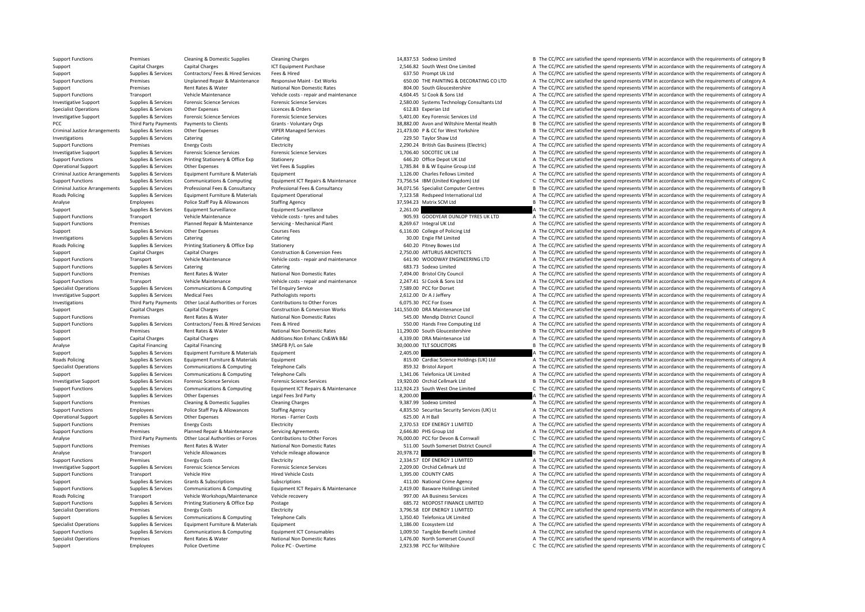PCC Third Party Payments Criminal JusticeCriminal JusticeCriminal Justice**Roads Policing Roads Policing Roads Policing** Roads

Support Functions Premises Cleaning & Domestic Supplies Cleaning Charges Cleaning Charges 14,837.53 Sodexo Limited B The CC/PCC are satisfied the spend represents VFM in accordance with the requirements of category B Support Capital Charges Capital Charges 2,546.82 South West One Limited A The CC/PCC are satisfied the spend represents VFM in accordance with the requirements of category A Support Supplies & Services Contractors/ Fees & Hired Services Fees & Hired Services Fees & Hired Services Fees & Hired 637.50 Prompt Uk Ltd A The CC/PCC are satisfied the spend represents VFM in accordance with the requir Premises Unplanned Repair & Waltenance Responsive Maint - Ext Works 
SUAD BOLOGO THE PAINTING & DECORATING COLTD A The CC/PCC are satisfied the spend represents VFM in accordance with the requirements of category A Network Support Premises Rent Rates & Water National Non Domestic Rates 804.00 South Gloucestershire A The CC/PCC are satisfied the spend represents VFM in accordance with the requirements of category A Support Functions Transport Vehicle Maintenance Vehicle costs ‐ repair and maintenance 4,604.45 SJ Cook & Sons Ltd A The CC/PCC are satisfied the spend represents VFM in accordance with the requirements of category A Investigative Support Support Support Supporters Forensic Science Services Forensic Science Services Forensic Science Services Forensic Science Services Forensic Science Services Forensic Science Services (Services Service Specialist Operations Supplies & Services Other Expenses Licences & Orders Company Specialist A The CC/PCC are satisfied the spend represents VFM in accordance with the requirements of category A Investigative Support Support Support Support Support Support Support Support Support Support Support Support Support Support Support Support Support Support Support Support Support Support Support Support Support Support Payments to Clients Scrants - Voluntary Orgs Same Sa, B Same Sa, B Same Scrange Wiltshire Mental Health B The CC/PCC are satisfied the spend represents VFM in accordance with the requirements of category B Supplies & Services Other Expenses VIPER Managed Services 21,473.00 P & CC for West Yorkshire B The CC/PCC are satisfied the spend represents VFM in accordance with the requirements of category B Investigations Supplies Services Catering Catering Catering Catering Catering Catering Catering Catering Catering Catering Category A The CC/PCC are satisfied the spend represents VFM in accordance with the requirements of Support Functions Premises Energy Costs Electricity Electricity 2,290.24 British Gas Business (Electricity A The CC/PCC are satisfied the spend represents VFM in accordance with the requirements of category A Investigative Support Supplies & Services Forensic Science Services Forensic Science Services Forensic Science Services Forensic Science Services Forensic Science Services and The CC/PCC are satisfied the spend represents Support Functions Supplies & Services Printing Stationery & Office Exp Stationery Stationery 646.20 Office Depot UK Ltd A The CC/PCC are satisfied the spend represents VFM in accordance with the requirements of category A Operational Support Supplies & Services Other Expenses Vet Fees & Supplies Vet Fees A Supplies 1,785.84 B & W Equine Group Ltd A The CC/PCC are satisfied the spend represents VFM in accordance with the requirements of cate Arrangements Supplies & Supplies & Supplies Arrangements of category A The CC/PCC are satisfied the spend represents VFM in accordance with the requirements of category A Supplies & Supplies & Supplies & Supplies & Supplie Support Functions Supplies & Services Communications & Computing Equipment ICT Repairs & Maintenance 73,756.54 IBM (United Kingdom) Ltd C The CC/PCC are satisfied the spend represents VFM in accordance with the requirement Supplies & Services Professional Fees & Consultancy Professional Fees & Consultancy Professional Fees & Consultancy Professional Fees & Consultancy 34.071.56 Specialist Computer Centres B The CC/PCC are satisfied the spend Supplies & Services Equipment Furniture & Materials Equipment Operational 10 7,123.58 Redspeed International Ltd A The CC/PCC are satisfied the spend represents VFM in accordance with the requirements of category A Analyse Employees Police Staff Pay & Allowances Staffing Agency 37,594.23 Matrix SCM Ltd B The CC/PCC are satisfied the spend represents VFM in accordance with the requirements of category B Support Supplies & Services Equipment Surveillance 2,201.00 2,261.00 A The CC/PCC are satisfied the spend represents VFM in accordance with the requirements of category A Support Functions Transport Vehicle Maintenance Vehicle costs ‐ tyres and tubes 905.93 GOODYEAR DUNLOP TYRES UK LTD A The CC/PCC are satisfied the spend represents VFM in accordance with the requirements of category A Support Functions Premises Planned Repair & Maintenance Servicing - Mechanical Plant 8,269.67 Integral UK Ltd A The CC/PCC are satisfied the spend represents VFM in accordance with the requirements of category A The CC/PCC Support Supplies & Services Other Expenses Courses Fees 6,116.00 College of Policing Ltd A The CC/PCC are satisfied the spend represents VFM in accordance with the requirements of category A Investigations Supplies Services Catering Catering Catering Catering Catering Catering Catering Catering Catering Catering Category A The CC/PCC are satisfied the spend represents VFM in accordance with the requirements of Supplies & Services Printing Stationery & Office Exp Stationery 640.20 Pitney Bowes Ltd A The CC/PCC are satisfied the spend represents VFM in accordance with the requirements of category A Support Capital Charges Capital Charges Capital Charges Capital Charges Capital Charges Capital Charges Capital Charges Capital Charges Capital Charges Capital Charges Capital Charges Capital Charges Construction & Convers A The CC/PCC are satisfied the spend represents VFM in accordance with the requirements of category A Support Functions Supplies & Services Catering Catering Catering Catering Catering Catering Catering Catering Catering Catering Catering Catering Catering Catering Catering Catering Catering Catering Catering Catering Cate Support Functions Premises Rent Rates & Water National Non Domestic Rates 7,494.00 Bristol City Council A The CC/PCC are satisfied the spend represents VFM in accordance with the requirements of category A Support Functions Transport Vehicle Maintenance Vehicle costs – repair and maintenance 2,247.41 SJ Cook & Sons Ltd A The CC/PCC are satisfied the spend represents VFM in accordance with the requirements of category A The C Specialist Operations Supplies & Services Communications & Computing Tel Enquiry Service 7,589.00 PCC for Dorset A The CC/PCC are satisfied the spend represents VFM in accordance with the requirements of category A Investigative Support Supplies & Services Medical Fees Pathologists reports Pathologists reports 2,612.00 Dr A J Jeffery A The CC/PCC are satisfied the spend represents VFM in accordance with the requirements of category A Investigations Third Party Payments Other Local Authorities or Forces Contributions to Other Forces 6,075.30 PCC For Essex A The CC/PCC are satisfied the spend represents VFM in accordance with the requirements of category Support Capital Charges Capital Charges Construction & Construction & Conversion Works 141,550.00 DRA Maintenance Ltd C The CC/PCC are satisfied the spend represents VFM in accordance with the requirements of category C Support Functions Premises Rent Rates & Water National Non Domestic Rates 545.00 Mendip District Council A The CC/PCC are satisfied the spend represents VFM in accordance with the requirements of category A Support Functions Supplies & Services Contractors/ Fees & Hired Services Fees & Hired Services Fees & Hired Services Fees & Hired 550.00 Hands Free Computing Ltd A The CC/PCC are satisfied the spend represents VFM in accor Support Premises Rent Rates & Water National Non Domestic Rates 11,290.00 South Gloucestershire B The CC/PCC are satisfied the spend represents VFM in accordance with the requirements of category B Support Capital Charges Capital Charges Capital Charges Additions:Non Enhanc Cn&Wk B&I 4,339.00 DRA Maintenance Ltd A The CC/PCC are satisfied the spend represents VFM in accordance with the requirements of category A The Analyse Capital Financing Capital Financing Capital Financing SMGFB P/L on Sale Supering SMGFB P/L on Sale 30,000.00 TLT SOLICITORS B The CC/PCC are satisfied the spend represents VFM in accordance with the requirements of Support Supplies & Services Equipment Eurniture & Materials Equipment Equipment 2,405.00 2,405.00 A The CC/PCC are satisfied the spend represents VFM in accordance with the requirements of category A The CC/PCC are satisfi Supplies & Services Equipment Furniture & Materials Equipment and Burniture and the Supplies and Cardiac Science Holdings (UK) Ltd A The CC/PCC are satisfied the spend represents VFM in accordance with the requirements of Specialist Operations Supplies & Services Communications & Computing Telephone Calls 859.32 Bristol Airport A The CC/PCC are satisfied the spend represents VFM in accordance with the requirements of category A Support Supplies & Services Communications & Computing Telephone Calls a Telephone Calls 1,341.06 Telefonica UK Limited A The CC/PCC are satisfied the spend represents VFM in accordance with the requirements of category A B The CC/PCC are satisfied the spend represents VFM in accordance with the requirements of category B Support Functions Supplies & Services Communications & Computing Equipment ICT Repairs & Maintenance 112,924.23 South West One Limited C The CC/PCC are satisfied the spend represents VFM in accordance with the requirements Support Supplies & Services Other Expenses Legal Fees 3rd Party 8,200.00 and a Support A The CC/PCC are satisfied the spend represents VFM in accordance with the requirements of category A The Critical A The Critical A The Support Functions Support Cleaning Premises Cleaning Cleaning Cleaning Cleaning Charges 9,387.99 Sodexo Limited A The CC/PCC are satisfied the spend represents VFM in accordance with the requirements of category A The CC/P Support Functions Employees Police Staff Pay & Allowances Staffing Agency 4,835.50 Securitas Security Services (UK) Lt A The CC/PCC are satisfied the spend represents VFM in accordance with the requirements of category A Operational Support Supplies & Services Other Expenses Horses Farrier Costs 625.00 A H Ball A The CC/PCC are satisfied the spend represents VFM in accordance with the requirements of category A Support Functions Premises Energy Costs Electricity Electricity Electricity (2,370.53 EDF ENERGY 1 LIMITED A The CC/PCC are satisfied the spend represents VFM in accordance with the requirements of category A The CC/PCC ar Support Functions Premises Planned Repair & Maintenance Servicing Agreements 2,646.80 PHS Group Ltd A The CC/PCC are satisfied the spend represents VFM in accordance with the requirements of category A Third Party Payments Other Local Authorities or Forces Contributions to Other Forces 76,000.00 PCC for Devon & Cornwall C The CC/PCC are satisfied the spend represents VFM in accordance with the requirements of category C Support Functions Premises Rent Rates Rulater National Non Domestic Rates 511.00 South Somerset District Council A The CC/PCC are satisfied the spend represents VFM in accordance with the requirements of category A Analyse Transport Vehicle Allowances Vehicle mileage allowance 20,978.72 20,978.72 B The CC/PCC are satisfied the spend represents VFM in accordance with the requirements of category B<br>Support Functions Premises Fine of Ca Support Functions Premises Energy Costs Functions Electricity and the Electricity 2,334.57 EDF ENERGY 1 LIMITED A The CC/PCC are satisfied the spend represents VFM in accordance with the requirements of category A Investigative Support Supplies & Services Forensic Science Services Forensic Science Services Protensic Science Services Protensic Science Services A The CC/PCC are satisfied the spend represents VFM in accordance with the Support Functions Transport Vehicle Hire Hire Hired Vehicle Costs Hired Vehicle Costs and Hired Vehicle Costs 1,395.00 COUNTY CARS A The CC/PCC are satisfied the spend represents VFM in accordance with the requirements of Support Supplies & Services Grants & Subscriptions Subscriptions Subscriptions Subscriptions and the spend of the spency A The CC/PCC are satisfied the spend represents VFM in accordance with the requirements of category A Support Functions Supplies & Services Communications & Computing Equipment ICT Repairs & Maintenance 2,419.00 Basware Holdings Limited A The CC/PCC are satisfied the spend represents VFM in accordance with the requirements Transport Vehicle Workshops/Maintenance Vehicle recovery 997.00 AA Business Services A The CC/PCC are satisfied the spend represents VFM in accordance with the requirements of category A The COPC are satisfied the spend re Support Functions Supplies & Services Printing Stationery & Office Exp Postage Prostage 685.72 NEOPOST FINANCE LIMITED A The CC/PCC are satisfied the spend represents VFM in accordance with the requirements of category A T Premises Energy Costs Electricity Electricity and the Specialist Operations Premises and the Specialist of category A The CC/PCC are satisfied the spend represents VFM in accordance with the requirements of category A Suppoirs Supplies & Services Communications & Computing Telephone Calls 1,350.40 Telefonica UK Limited A The CC/PCC are satisfied the spend represents VFM in accordance with the requirements of category A Specialist Operations Supplies & Services Equipment Eurniture & Materials Equipment Equipment Equipment Equipment 1,186.00 Ecosystem Ltd A The CC/PCC are satisfied the spend represents VFM in accordance with the requiremen Supplies & Services Communications & Computing Fouture Fouture Fouture Consumables and the Services Communications & Computing Fouture Fouture Fouture Fouture (CONSC) are caligned the Service of category A The CC/PCC are s Specialist Operations Premises Rent Rates & Water National Non Domestic Rates 1,476.00 North Somerset Council A The CC/PCC are satisfied the spend represents VFM in accordance with the requirements of category A Support Employees Police Overtime Police PC - Overtime Police PC - Overtime 2,923.98 PCC for Wiltshire C The CC/PCC are satisfied the spend represents VFM in accordance with the requirements of category C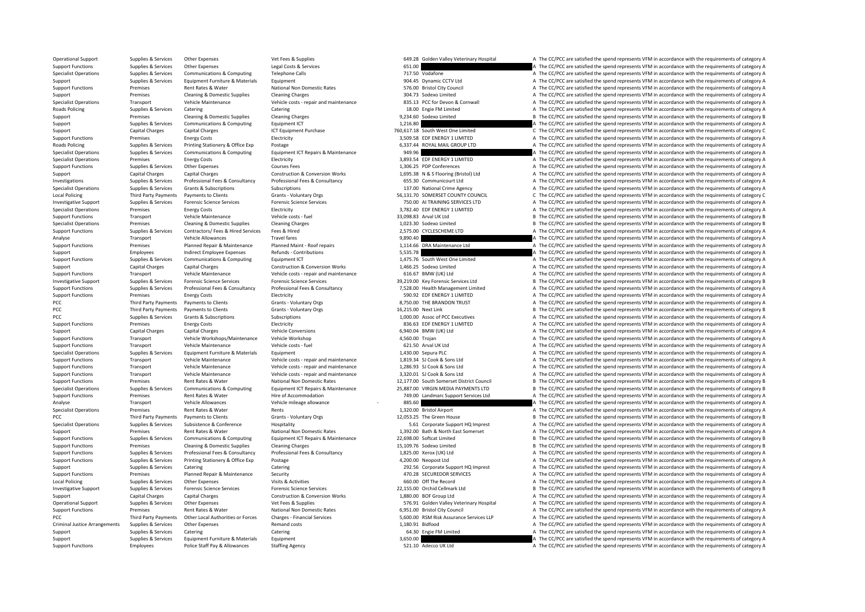**Roads Policing** Roads Policing Local Policing PCC Third Party Payments **PCC** Third Party Payments LocalPCC Third Party Payments Criminal Justice

**Third Party Payments** 

Operational Support Supplies & Services Other Expenses Vet Fees & Supplies Vet Fees & Supplies 649.28 Golden Valley Veterinary Hospital A The CC/PCC are satisfied the spend represents VFM in accordance with the requirement Support Functions Supplies & Services Other Expenses Legal Costs & Services 651.00 651.00 A The CC/PCC are satisfied the spend represents VFM in accordance with the requirements of category A Specialist Operations Supplies & Services Communications & Computing Telephone Calls 717.50 Vodafone A The CC/PCC are satisfied the spend represents VFM in accordance with the requirements of category A The Criminalist Cat Support Supplies Supplies & Services Equipment Eurniture & Materials Equipment Equipment Equipment Equipment equipment and the Support of the Support of the CC/PCC are satisfied the spend represents VFM in accordance with Premises Rent Rates & Water National Non Domestic Rates ST6.00 Bristol City Council A The CC/PCC are satisfied the spend represents VFM in accordance with the requirements of category A Support Premises Cleaning & Domestic Supplies Cleaning Charges Cleaning Charges Cleaning Charges 304.73 Sodexo Limited A The CC/PCC are satisfied the spend represents VFM in accordance with the requirements of category A Specialist Operations Transport Vehicle Maintenance Vehicle costs ‐ repair and maintenance 835.13 PCC for Devon & Cornwall A The CC/PCC are satisfied the spend represents VFM in accordance with the requirements of category Policing Supplies & Services Catering Catering 18.00 Engie FM Limited A The CC/PCC are satisfied the spend represents VFM in accordance with the requirements of category A Support Premises Cleaning & Domestic Supplies Cleaning Charges Cleaning Charges Cleaning Charges Cleaning Charges Cleaning Charges Cleaning Charges Cleaning Charges Cleaning Charges Cleaning Charges 9,234.60 Sodexo Limited Support Supplies & Services Communications & Computing Equipment ICT equipment ICT equipment ICT Equipment Purchase and the Support are satisfied the spend represents VFM in accordance with the requirements of category A T Support Capital Charges Capital Charges ICT Equipment Purchase 760,617.18 South West One Limited C The CC/PCC are satisfied the spend represents VFM in accordance with the requirements of category C Intervents VFM in accor Support Functions Premises Fuergy Costs Support Functions Electricity 3,509.58 EDF ENERGY 1 LIMITED A The CC/PCC are satisfied the spend represents VFM in accordance with the requirements of category A Supplies & Services Printing Stationery & Office Exp Postage exponents are a manufactured and the Stategory A The CC/PCC are satisfied the spend represents VFM in accordance with the requirements of category A Specialist Operations Supplies & Services Communications & Computing Equipment ICT Repairs & Maintenance 949.96 949.96 A The CC/PCC are satisfied the spend represents VFM in accordance with the requirements of category A T Specialist Operations Premises Energy Costs Electricity Electricity and Electricity and the spend a The CC/PCC are satisfied the spend represents VFM in accordance with the requirements of category A Support Functions Supplies & Services Other Expenses Courses Fees Courses Fees 1,306.25 PDP Conferences A The CC/PCC are satisfied the spend represents VFM in accordance with the requirements of category A Support Capital Charges Capital Charges Construction & Construction & Conversion Works 1,695.38 N & S Flooring (Bristol) Ltd A The CC/PCC are satisfied the spend represents VFM in accordance with the requirements of catego Investigations Supplies & Services Professional Fees & Consultancy Professional Fees & Consultancy 655.30 Communicourt Ltd A The CC/PCC are satisfied the spend represents VFM in accordance with the requirements of category Specialist Operations Supplies & Services Grants & Subscriptions Subscriptions Subscriptions Subscriptions 137.00 National Crime Agency A The CC/PCC are satisfied the spend represents VFM in accordance with the requirement Third Party Payments Payments to Clients Grants - Voluntary Orgs 56,131.70 SOMERSET COUNTY COUNCIL C The CC/PCC are satisfied the spend represents VFM in accordance with the requirements of category C Investigative Support Support Support Support Support Support Support Support Support Support Support Support Support Support Support Support Support Support Support Support Support Support Support Support Support Support Specialist Operations Premises Energy Costs Finance Electricity Finance and the Electricity and the Energy Costs Electricity and the Energy Costs Electricity and the Energy Costs Electricity and the Energy Costs Electricit Support Functions Transport Vehicle Maintenance Vehicle costs – fuel vehicle costs – fuel 33,098.83 Arval UK Ltd B The CC/PCC are satisfied the spend represents VFM in accordance with the requirements of category B Specialist Operations Premises Cleaning & Domestic Supplies Cleaning Charges Cleaning Charges Cleaning Charges Charges Coleaning Charges 1,023.30 Sodexo Limited B The CC/PCC are satisfied the spend represents VFM in accord A The CC/PCC are satisfied the spend represents VFM in accordance with the requirements of category A Analyse Transport Vehicle Allowances Travel fares Travel fares and the CORC are satisfied the spend represents VFM in accordance with the requirements of category A Support Functions Premises Planned Repair & Maintenance Planned Maint ‐ Roof repairs 1,114.66 DRA Maintenance Ltd A The CC/PCC are satisfied the spend represents VFM in accordance with the requirements of category A Support Employees Indirect Employee Expenses Refunds - Contributions and the Support Employee Expenses Refunds - Contributions 5,535.78 Contributions and the CC/PCC are satisfied the spend represents VFM in accordance with A The CC/PCC are satisfied the spend represents VFM in accordance with the requirements of category A Support Capital Charges Capital Charges Construction & Conversion Works 1,466.25 Sodexo Limited A The CC/PCC are satisfied the spend represents VFM in accordance with the requirements of category A Support Functions Transport Vehicle Maintenance Vehicle costs ‐ repair and maintenance 616.67 BMW (UK) Ltd A The CC/PCC are satisfied the spend represents VFM in accordance with the requirements of category A Investigative Support Supplies & Services Forensic Science Services Forensic Science Services Forensic Science Services Forensic Science Services Forensic Science Services and a management Support and the CC/PCC are satisf A The CC/PCC are satisfied the spend represents VFM in accordance with the requirements of category A Support Functions Premises Premises Energy Costs Electricity Electricity Electricity Electricity 590.92 EDF ENERGY 1 LIMITED A The CC/PCC are satisfied the spend represents VFM in accordance with the requirements of catego Payments to Clients Grants - Voluntary Orgs Grants Crants Crants Crants Crants and the Stategory A The CC/PCC are satisfied the spend represents VFM in accordance with the requirements of category A Payments to Clients Grants - Voluntary Orgs 16,215.00 Next Link B The CC/PCC are satisfied the spend represents VFM in accordance with the requirements of category B PCC Supplies & Services Grants & Subscriptions Subscriptions Subscriptions Subscriptions Subscriptions 1,000.00 Assoc of PCC Executives A The CC/PCC are satisfied the spend represents VFM in accordance with the requirement Support Functions Premises Energy Costs Electricity Electricity energy Electricity Bases Energy Costs Electricity Bases Energy A The CC/PCC are satisfied the spend represents VFM in accordance with the requirements of cate Support Capital Charges Capital Charges Vehicle Conversions 6,940.04 BMW (UK) Ltd A The CC/PCC are satisfied the spend represents VFM in accordance with the requirements of category A Support Functions Transport Vehicle Workshops/Maintenance Vehicle Workshop vehicle Workshop Vehicle Workshop Vehicle Workshop Vehicle Workshop Vehicle Workshop Vehicle Workshop Vehicle Costs fuel and the spend UPS and A Th Support Functions Transport Vehicle Maintenance Vehicle costs – fuel vehicle costs – fuel out of the C21.50 Arval UK Ltd A The CC/PCC are satisfied the spend represents VFM in accordance with the requirements of category A Specialist Operations Control of the CC/PCC are satisfied the spend represents VFM in accordance with the requirements of category A The CC/PCC are satisfied the spend represents VFM in accordance with the requirements of Support Transport Vehicle Maintenance Vehicle costs ‐ repair and maintenance 1,819.34 SL Cook & Sons Ltd A The CC/PCC are satisfied the spend represents VFM in accordance with the requirements of category A Support Functions Transport Vehicle Maintenance Vehicle costs ‐ repair and maintenance 1,286.93 SJ Cook & Sons Ltd A The CC/PCC are satisfied the spend represents VFM in accordance with the requirements of category A Support Functions Transport Vehicle Maintenance Vehicle costs ‐ repair and maintenance 3,320.01 SJ Cook & Sons Ltd A The CC/PCC are satisfied the spend represents VFM in accordance with the requirements of category A The C Premises Rent Rates & Water National Non Domestic Rates 12,177.00 South Somerset District Council B The CC/PCC are satisfied the spend represents VFM in accordance with the requirements of category B Supplies & Services Communications & Computing Equipment ICT Repairs & Maintenance 25,887.00 VIRGIN MEDIA PAYMENTS LTD B The CC/PCC are satisfied the spend represents VFM in accordance with the requirements of category B Support Functions Premises Rent Rates & Water Hire of Accommodation Hire of Accommodation 749.00 Landmarc Support Services Ltd A The CC/PCC are satisfied the spend represents VFM in accordance with the requirements of cate Analyse Transport Vehicle Allowances Vehicle mileage allowance  $\mathbb{R}^n$  are allowance  $\mathbb{R}^n$  are set and the spend of category A The CC/PCC are satisfied the spend represents VFM in accordance with the requirements o Specialist Operations Premises Rent Rates & Water Rents 1,320.00 Bristol Airport A The CC/PCC are satisfied the spend represents VFM in accordance with the requirements of category A Payments to Clients Grants - Voluntary Orgs 12,053.25 The Green House B The CC/PCC are satisfied the spend represents VFM in accordance with the requirements of category B Specialist Operations Supplies & Services Subsistence Support Hospitality Hospitality Specialist Support HQ Imprest A The CC/PCC are satisfied the spend represents VFM in accordance with the requirements of category A Theo Support Premises Rent Rates & Water National Non Domestic Rates 1,392.00 Bath & North East Somerset A The CC/PCC are satisfied the spend represents VFM in accordance with the requirements of category A Support Functions Supplies & Services Communications & Computing Equipment ICT Repairs & Maintenance 22,698.00 Softcat Limited B The CC/PCC are satisfied the spend represents VFM in accordance with the requirements of cate Support Functions Premises Cleaning & Domestic Supplies Cleaning Charges Cleaning Charges Cleaning Charges 15,109.76 Sodexo Limited B The CC/PCC are satisfied the spend represents VFM in accordance with the requirements of Support Functions Supplies & Services Professional Fees & Consultancy Professional Fees & Consultancy Professional Fees & Consultancy Professional Fees & Consultancy 1,825.00 Xerox (UK) Ltd A The CC/PCC are satisfied the s Support Functions Supplies & Services Printing Stationery & Office Exp Postage exp Postage 4,200.00 Neopost Ltd A The CC/PCC are satisfied the spend represents VFM in accordance with the requirements of category A Support Supplies & Services Catering Catering Catering Catering Catering Catering 292.56 Corporate Support HQ Imprest A The CC/PCC are satisfied the spend represents VFM in accordance with the requirements of category A Support Functions Premises Planned Repair & Maintenance Security Support A The SECUREDOR SERVICES A The CC/PCC are satisfied the spend represents VFM in accordance with the requirements of category A The Criteria and the S Supplies & Services Other Expenses Visits & Activities Visits Activities 660.00 Off The Record A The CC/PCC are satisfied the spend represents VFM in accordance with the requirements of category A Investigative Support Supplies & Services Forensic Science Services Forensic Science Services Forensic Science Services Forensic Science Services Forensic Science Services Forensic Science Services Forensic Science Service Support Capital Charges Capital Charges Construction & Conversion Works 1,880.00 BOF Group Ltd A The CC/PCC are satisfied the spend represents VFM in accordance with the requirements of category A Operational Support Supplies & Services Other Expenses Vet Fees & Supplies Vet Frees & Supplies Supplies Support Support Support Support Support Support Support Support Support Support Operation of the Support of the Suppo Support Functions Premises Rent Rates & Water National Non Domestic Rates 6,951.00 Bristol City Council A The CC/PCC are satisfied the spend represents VFM in accordance with the requirements of category A Other Local Authorities or Forces Charges - Financial Services 50000 BSM Risk Assurance Services LLP A The CC/PCC are satisfied the spend represents VFM in accordance with the requirements of category A Supplies & Services Other Expenses Remand costs Remand costs 1,180.91 Bidfood A The CC/PCC are satisfied the spend represents VFM in accordance with the requirements of category A Support Supplies & Services Catering Catering Catering Catering Catering Catering Catering Catering Catering Category A The CC/PCC are satisfied the spend represents VFM in accordance with the requirements of category A Support Supplies & Services Equipment Furniture & Materials Equipment Equipment 3,650.00 3,650.00 A The CC/PCC are satisfied the spend represents VFM in accordance with the requirements of category A Support Functions Employees Police Staff Pay & Allowances Staffing Agency 521.10 Adecco UK Ltd A The CC/PCC are satisfied the spend represents VFM in accordance with the requirements of category A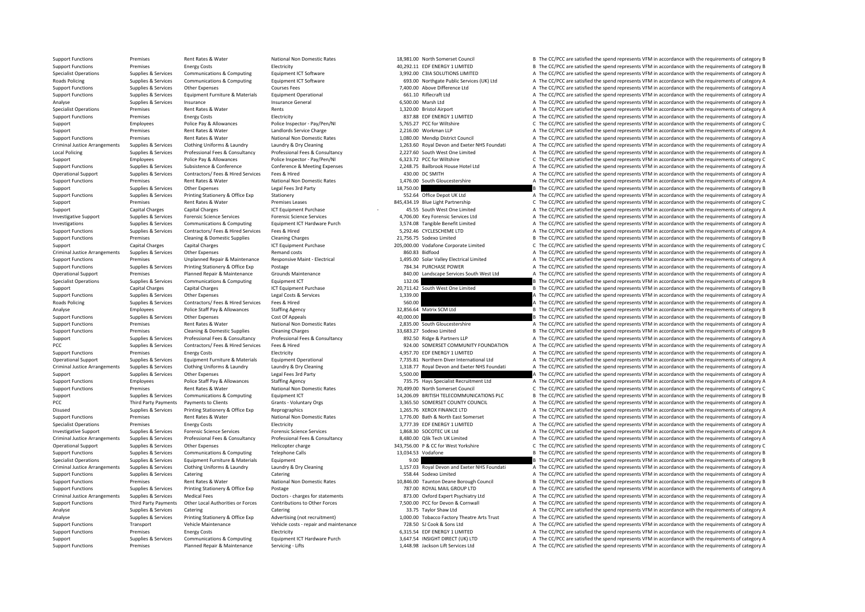**Roads Policing** Criminal JusticeLocal Policing Criminal Justice**Roads Policing** Criminal Justice**PCC Third Party Payments** Criminal JusticeCriminal JusticeCriminal Justice

Support Functions Premises Rent Rates & Water National Non Domestic Rates 18,981.00 North Somerset Council B The CC/PCC are satisfied the spend represents VFM in accordance with the requirements of category B Support Functions Premises Energy Costs Electricity Electricity A0,292.11 EDF ENERGY 1 LIMITED B The CC/PCC are satisfied the spend represents VFM in accordance with the requirements of category B Supplies & Services Communications & Computing Equipment ICT Software 3,992.00 C3IA SOLUTIONS LIMITED A The CC/PCC are satisfied the spend represents VFM in accordance with the requirements of category A The CC/PCC are sat Policing Supplies & Services Communications & Computing Equipment ICT Software 693.00 Northgate Public Services (UK) Ltd A The CC/PCC are satisfied the spend represents VFM in accordance with the requirements of category A Support Functions Supplies A The CC/PCC are satisfied the spend represents VFM in accordance with the requirements of category A Support Functions Supplies & Services Equipment Furniture & Materials Equipment Operational example and the sectional 661.10 Riflecraft Ltd A The CC/PCC are satisfied the spend represents VFM in accordance with the require Analyse Supplies & Services Insurance Insurance General Insurance General A The CC/PCC are satisfied the spend represents VFM in accordance with the requirements of category A Specialist Operations Premises Rent Rates & Water Rents Rents Rents and Rents 1,320.00 Bristol Airport A The CC/PCC are satisfied the spend represents VFM in accordance with the requirements of category A Support Functions Premises Energy Costs Electricity Electricity and the Sample and the Sample and the Sample of the CC/PCC are satisfied the spend represents VFM in accordance with the requirements of category A Support Employees Police Pay & Allowances Police Inspector - Pay/Pen/NI 5,765.27 PCC for Wiltshire C The CC/PCC are satisfied the spend represents VFM in accordance with the requirements of category C Support Premises Rent Rates & Water Landlords Service Charge 2,216.00 Workman LLP A The CC/PCC are satisfied the spend represents VFM in accordance with the requirements of category A The Critics And a The Critics And a Th Support Functions Premises Rent Rates & Water National Non Domestic Rates 1,080.00 Mendin District Council A The CC/PCC are satisfied the spend represents VFM in accordance with the requirements of category A Supplies & Services Clothing Uniforms & Laundry Laundry & Dry Cleaning 1.263.60 Royal Devon and Exeter NHS Foundati A The CC/PCC are satisfied the spend represents VFM in accordance with the requirements of category A Supplies & Services Professional Fees & Consultancy Professional Fees & Consultancy Professional Fees & Consultancy Professional Fees & Consultancy Professional Fees & Consultancy Consultancy 2,227.60 South West One Limite Support Employees Police Pay & Allowances Police Inspector - Pay/Pen/NI 6,323.72 PCC for Wiltshire C The CC/PCC are satisfied the spend represents VFM in accordance with the requirements of category C Support Functions Supplies & Services Subsistence & Conference Conference Conference A Meeting Expenses 2,248.75 Bailbrook House Hotel Ltd A The CC/PCC are satisfied the spend represents VFM in accordance with the requirem Operational Support Supplies & Services Contractors/ Fees & Hired Services Fees & Hired A The CONTH A The CC/PCC are satisfied the spend represents VFM in accordance with the requirements of category A Support Functions Premises Rent Rates & Water National Non Domestic Rates 1,476.00 South Gloucestershire A The CC/PCC are satisfied the spend represents VFM in accordance with the requirements of category A Support Support Supporters Other Expenses Legal Fees 3rd Party 18,750.00 B The CC/PCC are satisfied the spend represents VFM in accordance with the requirements of category B Support Functions Supplies & Services Printing Stationery & Office Exp Stationery Stationery 552.64 Office Depot UK Ltd A The CC/PCC are satisfied the spend represents VFM in accordance with the requirements of category A Support Premises Rent Rates & Water Premises Premises Premises Premises Premises Premises Premises Premises Premises Premises Premises Premises Premises Premises Premises Premises Premises Premises Premises Premises Premis Support Capital Charges Capital Charges ICT Equipment Purchase 45.55 South West One Limited A The CC/PCC are satisfied the spend represents VFM in accordance with the requirements of category A Investigative Support Support Support Support Support Support Support Support Support Support Support Support Support Support Support Support Support Support Support Support Support Support Support Support Support Support Supplies & Services Communications & Computing Equipment ICT Hardware Purch 3,574.08 Tangible Benefit Limited A The CC/PCC are satisfied the spend represents VFM in accordance with the requirements of category A Support Fu A The CC/PCC are satisfied the spend represents VFM in accordance with the requirements of category A Support Functions Premises Cleaning & Domestic Supplies Cleaning Charges 21,756.75 Sodexo Limited B The CC/PCC are satisfied the spend represents VFM in accordance with the requirements of category B Support Capital Charges Capital Charges Capital Charges ICT Equipment Purchase 205,000,00 Vodafone Corporate Limited C The CC/PCC are satisfied the spend represents VFM in accordance with the requirements of category C Arrangements Supplies Arrangements Supplies Arrangements Supplies & Supplies Arrangements Supplies and the Supplies A The CC/PCC are satisfied the spend represents VFM in accordance with the requirements of category A The Virtual Departments of the CONSIDENT CONTENT OF THE CONSIDENT OF THE COLOR CONTENT OF THE COLOR CONTENT OF THE COLOR CONTENT OF THE COLOR CONTENTS OF CHEROLEY OF THE COLOR CONTENTS OF CALCED PRESSURE OF THE COLOR CONTENTS Support Functions Supplies & Services Printing Stationery & Office Exp Postage 784.34 PURCHASE POWER 784.34 PURCHASE POWER A The CC/PCC are satisfied the spend represents VFM in accordance with the requirements of category Operational Support Premises Planned Repair & Maintenance Grounds Maintenance South Message Services South West Ltd A The CC/PCC are satisfied the spend represents VFM in accordance with the requirements of category A Specialist Operations Supplies & Services Communications & Computing Equipment ICT equipment ICT equipment ICT 132.06 132.06 132.06 B The CC/PCC are satisfied the spend represents VFM in accordance with the requirements of Support Capital Charges Capital Charges Capital Charges ICT Equipment Purchase 20,711.42 South West One Limited B The CC/PCC are satisfied the spend represents VFM in accordance with the requirements of category B Support Functions Supplies & Services Other Expenses Legal Costs & Services 1,339.00 A The CC/PCC are satisfied the spend represents VFM in accordance with the requirements of category A Policing Supplies & Services Contractors/ Fees & Hired Services Fees & Hired 560.00 A The CC/PCC are satisfied the spend represents VFM in accordance with the requirements of category A Analyse Employees Police Staff Pay & Allowances Staffing Agency 32,856.64 Matrix SCM Ltd B The CC/PCC are satisfied the spend represents VFM in accordance with the requirements of category B Support Functions Supplies & Services Other Expenses Cost Of Appeals Cost Of Appeals 40,000.00 B The CC/PCC are satisfied the spend represents VFM in accordance with the requirements of category B Support Functions Premises Rent Rates & Water National Non Domestic Rates 2,835.00 South Gloucestershire A The CC/PCC are satisfied the spend represents VFM in accordance with the requirements of category A The Criteria an Support Functions Premises Cleaning & Domestic Supplies Cleaning Charges 33,683.27 Sodexo Limited B The CC/PCC are satisfied the spend represents VFM in accordance with the requirements of category B Support Supplies & Services Professional Fees & Consultancy Professional Fees & Consultancy 892.50 Ridge & Partners LLP A The CC/PCC are satisfied the spend represents VFM in accordance with the requirements of category A PCC PCC Supplies Fees Articles Contractors/ Fees & Hired Services Fees & Hired 924.00 SOMERSET COMMUNITY FOUNDATION A The CC/PCC are satisfied the spend represents VFM in accordance with the requirements of category A<br>Supp Electricity Electricity Electricity and the support of the CC/PCC are satisfied the spend represents VFM in accordance with the requirements of category A<br>Support Functions A The CC/PCC are satisfied the spend represents V Operational Supplers & Services Supplers Requirement Supplers (Services Caudioment Furniture & Materials Foujoment Operational 1996) 7.735.81 Northern Diver International Ltd A The CC/PCC are satisfied the spend represents Supplies & Services Clothing Uniforms & Laundry Laundry & Dry Cleaning Laundry & Dry Cleaning Laundry & Dry Cleaning Laundry A The CC/PCC are satisfied the spend represents VFM in accordance with the requirements of catego Support Supplies & Services Other Expenses Legal Fees 3rd Party Legal Fees 3rd Party Support Support A The CC/PCC are satisfied the spend represents VFM in accordance with the requirements of category A The Support Functio Employees Police Staff Pay & Allowances Staffing Agency 735.75 Hays Specialist Recruitment Ltd A The CC/PCC are satisfied the spend represents VFM in accordance with the requirements of category A Support Functions Premises Rent Rates & Water National Non Domestic Rates 70,499.00 North Somerset Council C The CC/PCC are satisfied the spend represents VFM in accordance with the requirements of category C Support Supplies & Services Communications & Computing Equipment ICT Equipment ICT 14,206.09 BRITISH TELECOMMUNICATIONS PLC B The CC/PCC are satisfied the spend represents VFM in accordance with the requirements of categor Payments to Clients Grants Crants Voluntary Orgs 3,365.50 SOMERSET COUNCIL A The CC/PC are satisfied the spend represents VFM in accordance with the requirements of category A Disused Supplies & Services Printing Stationery & Office Exp Reprographics Reprographics 1,265.76 XEROX FINANCE LTD A The CC/PCC are satisfied the spend represents VFM in accordance with the requirements of category A Support Functions Premises Rent Rates Rulater National Non Domestic Rates 1,776.00 Bath & North East Somerset A The CC/PCC are satisfied the spend represents VFM in accordance with the requirements of category A Specialist Operations Premises Energy Costs Electricity Electricity Electricity and the spend in the CC/PCC are satisfied the spend represents VFM in accordance with the requirements of category A The CC/PCC are satisfied Investigative Support Support Support Support Science Services Forensic Science Services Forensic Science Services 1,868.30 SOCOTEC UK Ltd A The CC/PCC are satisfied the spend represents VFM in accordance with the requirem Supplies & Services Professional Fees & Consultancy Professional Fees & Consultancy Professional Fees & Consultancy Consultancy and B.480.00 Qlik Tech UK Limited A The CC/PCC are satisfied the spend represents VFM in accor Operational Support Supplies & Services Other Expenses Helicopter charge Helicopter charge 343,756.00 P & CC for West Yorkshire C The CC/PCC are satisfied the spend represents VFM in accordance with the requirements of cat Support Functions Supplies & Services Communications & Computing Telephone Calls 13,034.53 Vodafone a Description B The CC/PCC are satisfied the spend represents VFM in accordance with the requirements of category B Specialist Operations Supplies & Services Equipment Furniture & Materials Foujoment 9.00 9.00 B The CC/PCC are satisfied the spend represents VFM in accordance with the requirements of category B Supplies & Services Clothing Uniforms & Laundry Laundry & Dry Cleaning Laundry & Dry Cleaning Laundry & Dry Cleaning Laundry A The CC/PCC are satisfied the spend represents VFM in accordance with the requirements of catego Support Functions Supplies & Services Catering Catering Catering Catering Catering Catering Catering Catering Catering Catering Catering S58.44 Sodexo Limited A The CC/PCC are satisfied the spend represents VFM in accordan Support Functions Premises Rent Rates & Water National Non Domestic Rates 10,846.00 Taunton Deane Borough Council B The CC/PCC are satisfied the spend represents VFM in accordance with the requirements of category B Support Functions Supplies & Services Printing Stationery & Office Exp Postage 787.00 ROYAL MAIL GROUP LTD A The CC/PCC are satisfied the spend represents VFM in accordance with the requirements of category A Arrangements Supplies & Services Medical Fees Doctors - charges for statements A The CC/PCC are satisfied the spend represents VFM in accordance with the requirements of category A Support Functions Third Party Payments Other Local Authorities or Forces Contributions to Other Forces 7.500.00 PCC for Devon & Comwall A The CC/PCC are satisfied the spend represents VFM in accordance with the requirement Analyse Supplies & Services Catering Catering Catering Catering 33.75 Taylor Shaw Ltd A The CC/PCC are satisfied the spend represents VFM in accordance with the requirements of category A Supplies & Services Printing Stationery & Office Exp Advertising (not recruitment) 1,000.00 Tobacco Factory Theatre Arts Trust A The CC/PCC are satisfied the spend represents VFM in accordance with the requirements of cate Support Functions Transport Vehicle Maintenance Vehicle costs ‐ repair and maintenance 728.50 SJ Cook & Sons Ltd A The CC/PCC are satisfied the spend represents VFM in accordance with the requirements of category A The Cri Premises Energy Costs Electricity Electricity and Electricity 6,315.54 EDF ENERGY 1 LIMITED A The CC/PCC are satisfied the spend represents VFM in accordance with the requirements of category A Support Supplies & Services Communications & Computing Equipment ICT Hardware Purch 3,647.54 INSIGHT DIRECT (UK) LTD A The CC/PCC are satisfied the spend represents VFM in accordance with the requirements of category A Support Functions Premises Planned Repair & Maintenance Servicing - Lifts 1,448.98 Jackson Lift Services Ltd A The CC/PCC are satisfied the spend represents VFM in accordance with the requirements of category A